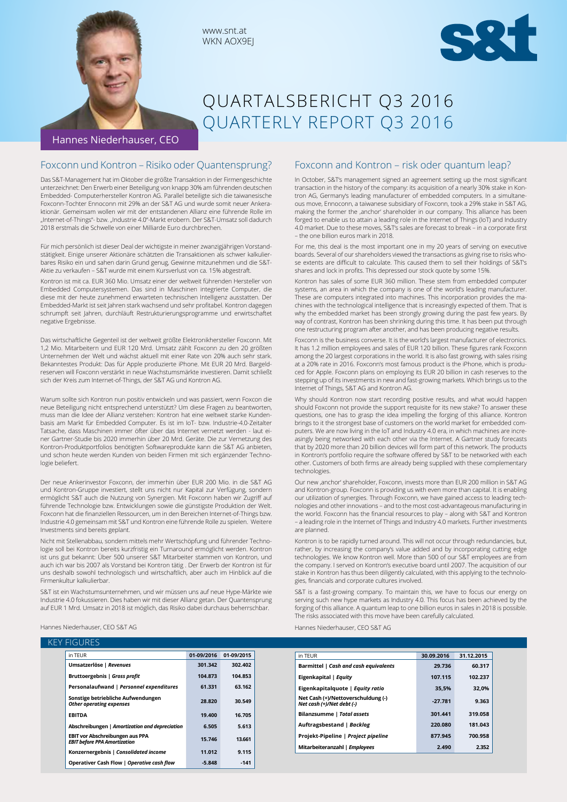



# QUARTALSBERICHT Q3 2016 QUARTERLY REPORT Q3 2016

Hannes Niederhauser, CEO

## Foxconn und Kontron – Risiko oder Quantensprung?

Das S&T-Management hat im Oktober die größte Transaktion in der Firmengeschichte unterzeichnet: Den Erwerb einer Beteiligung von knapp 30% am führenden deutschen Embedded- Computerhersteller Kontron AG. Parallel beteiligte sich die taiwanesische Foxconn-Tochter Ennoconn mit 29% an der S&T AG und wurde somit neuer Ankeraktionär. Gemeinsam wollen wir mit der entstandenen Allianz eine führende Rolle im "Internet-of-Things"- bzw. "Industrie 4.0"-Markt erobern. Der S&T-Umsatz soll dadurch 2018 erstmals die Schwelle von einer Milliarde Euro durchbrechen.

Für mich persönlich ist dieser Deal der wichtigste in meiner zwanzigjährigen Vorstandstätigkeit. Einige unserer Aktionäre schätzten die Transaktionen als schwer kalkulierbares Risiko ein und sahen darin Grund genug, Gewinne mitzunehmen und die S&T-Aktie zu verkaufen – S&T wurde mit einem Kursverlust von ca. 15% abgestraft.

Kontron ist mit ca. EUR 360 Mio. Umsatz einer der weltweit führenden Hersteller von Embedded Computersystemen. Das sind in Maschinen integrierte Computer, die diese mit der heute zunehmend erwarteten technischen Intelligenz ausstatten. Der Embedded-Markt ist seit Jahren stark wachsend und sehr profitabel. Kontron dagegen schrumpft seit Jahren, durchläuft Restrukturierungsprogramme und erwirtschaftet negative Ergebnisse.

Das wirtschaftliche Gegenteil ist der weltweit größte Elektronikhersteller Foxconn. Mit 1,2 Mio. Mitarbeitern und EUR 120 Mrd. Umsatz zählt Foxconn zu den 20 größten Unternehmen der Welt und wächst aktuell mit einer Rate von 20% auch sehr stark. Bekanntestes Produkt: Das für Apple produzierte iPhone. Mit EUR 20 Mrd. Bargeldreserven will Foxconn verstärkt in neue Wachstumsmärkte investieren. Damit schließt sich der Kreis zum Internet-of-Things, der S&T AG und Kontron AG.

Warum sollte sich Kontron nun positiv entwickeln und was passiert, wenn Foxcon die neue Beteiligung nicht entsprechend unterstützt? Um diese Fragen zu beantworten, muss man die Idee der Allianz verstehen: Kontron hat eine weltweit starke Kundenbasis am Markt für Embedded Computer. Es ist im IoT- bzw. Industrie-4.0-Zeitalter Tatsache, dass Maschinen immer öfter über das Internet vernetzt werden - laut einer Gartner-Studie bis 2020 immerhin über 20 Mrd. Geräte. Die zur Vernetzung des Kontron-Produktportfolios benötigten Softwareprodukte kann die S&T AG anbieten, und schon heute werden Kunden von beiden Firmen mit sich ergänzender Technologie beliefert.

Der neue Ankerinvestor Foxconn, der immerhin über EUR 200 Mio. in die S&T AG und Kontron-Gruppe investiert, stellt uns nicht nur Kapital zur Verfügung, sondern ermöglicht S&T auch die Nutzung von Synergien. Mit Foxconn haben wir Zugriff auf führende Technologie bzw. Entwicklungen sowie die günstigste Produktion der Welt. Foxconn hat die finanziellen Ressourcen, um in den Bereichen Internet-of-Things bzw. Industrie 4.0 gemeinsam mit S&T und Kontron eine führende Rolle zu spielen. Weitere Investments sind bereits geplant.

Nicht mit Stellenabbau, sondern mittels mehr Wertschöpfung und führender Technologie soll bei Kontron bereits kurzfristig ein Turnaround ermöglicht werden. Kontron ist uns gut bekannt: Über 500 unserer S&T Mitarbeiter stammen von Kontron, und auch ich war bis 2007 als Vorstand bei Kontron tätig . Der Erwerb der Kontron ist für uns deshalb sowohl technologisch und wirtschaftlich, aber auch im Hinblick auf die Firmenkultur kalkulierbar.

S&T ist ein Wachstumsunternehmen, und wir müssen uns auf neue Hype-Märkte wie Industrie 4.0 fokussieren. Dies haben wir mit dieser Allianz getan. Der Quantensprung auf EUR 1 Mrd. Umsatz in 2018 ist möglich, das Risiko dabei durchaus beherrschbar.

## Foxconn and Kontron – risk oder quantum leap?

In October, S&T's management signed an agreement setting up the most significant transaction in the history of the company: its acquisition of a nearly 30% stake in Kontron AG, Germany's leading manufacturer of embedded computers. In a simultaneous move, Ennoconn, a taiwanese subsidiary of Foxconn, took a 29% stake in S&T AG, making the former the ,anchor' shareholder in our company. This alliance has been forged to enable us to attain a leading role in the Internet of Things (IoT) and Industry 4.0 market. Due to these moves, S&T's sales are forecast to break – in a corporate first – the one billion euros mark in 2018.

For me, this deal is the most important one in my 20 years of serving on executive boards. Several of our shareholders viewed the transactions as giving rise to risks whose extents are difficult to calculate. This caused them to sell their holdings of S&T's shares and lock in profits. This depressed our stock quote by some 15%.

Kontron has sales of some EUR 360 million. These stem from embedded computer systems, an area in which the company is one of the world's leading manufacturer. These are computers integrated into machines. This incorporation provides the machines with the technological intelligence that is increasingly expected of them. That is why the embedded market has been strongly growing during the past few years. By way of contrast, Kontron has been shrinking during this time. It has been put through one restructuring program after another, and has been producing negative results.

Foxconn is the business converse. It is the world's largest manufacturer of electronics. It has 1.2 million employees and sales of EUR 120 billion. These figures rank Foxconn among the 20 largest corporations in the world. It is also fast growing, with sales rising at a 20% rate in 2016. Foxconn's most famous product is the iPhone, which is produced for Apple. Foxconn plans on employing its EUR 20 billion in cash reserves to the stepping up of its investments in new and fast-growing markets. Which brings us to the Internet of Things, S&T AG and Kontron AG.

Why should Kontron now start recording positive results, and what would happen should Foxconn not provide the support requisite for its new stake? To answer these questions, one has to grasp the idea impelling the forging of this alliance. Kontron brings to it the strongest base of customers on the world market for embedded computers. We are now living in the IoT and Industry 4.0 era, in which machines are increasingly being networked with each other via the Internet. A Gartner study forecasts that by 2020 more than 20 billion devices will form part of this network. The products in Kontron's portfolio require the software offered by S&T to be networked with each other. Customers of both firms are already being supplied with these complementary technologies.

Our new 'anchor' shareholder, Foxconn, invests more than EUR 200 million in S&T AG and Kontron-group. Foxconn is providing us with even more than capital. It is enabling our utilization of synergies. Through Foxconn, we have gained access to leading technologies and other innovations – and to the most cost-advantageous manufacturing in the world. Foxconn has the financial resources to play – along with S&T and Kontron – a leading role in the Internet of Things and Industry 4.0 markets. Further investments are planned.

Kontron is to be rapidly turned around. This will not occur through redundancies, but, rather, by increasing the company's value added and by incorporating cutting edge technologies. We know Kontron well. More than 500 of our S&T employees are from the company. I served on Kontron's executive board until 2007. The acquisition of our stake in Kontron has thus been diligently calculated, with this applying to the technologies, financials and corporate cultures involved.

S&T is a fast-growing company. To maintain this, we have to focus our energy on serving such new hype markets as Industry 4.0. This focus has been achieved by the forging of this alliance. A quantum leap to one billion euros in sales in 2018 is possible. The risks associated with this move have been carefully calculated.

Hannes Niederhauser, CEO S&T AG

| <b>KEY FIGURES</b>            |            |            |
|-------------------------------|------------|------------|
| in TEUR                       | 01-09/2016 | 01-09/2015 |
| Umsatzerlöse   Revenues       | 301.342    | 302.402    |
| Bruttoergebnis   Gross profit | 104.873    | 104.853    |

Hannes Niederhauser, CEO S&T AG

| in TFUR                                                                       | 01-09/2016 | 01-09/2015 | in TEUR                                                     |
|-------------------------------------------------------------------------------|------------|------------|-------------------------------------------------------------|
| Umsatzerlöse   Revenues                                                       | 301.342    | 302.402    | Barmittel   Cash and cash equive                            |
| Bruttoergebnis   Gross profit                                                 | 104.873    | 104.853    | Eigenkapital   Equity                                       |
| Personalaufwand   Personnel expenditures                                      | 61.331     | 63.162     | Eigenkapitalquote   Equity rati                             |
| Sonstige betriebliche Aufwendungen<br><b>Other operating expenses</b>         | 28.820     | 30.549     | Net Cash (+)/Nettoverschuldung<br>Net cash (+)/Net debt (-) |
| <b>EBITDA</b>                                                                 | 19.400     | 16.705     | Bilanzsumme   Total assets                                  |
| Abschreibungen   Amortization and depreciation                                | 6.505      | 5.613      | Auftragsbestand   Backlog                                   |
| <b>EBIT vor Abschreibungen aus PPA</b><br><b>EBIT before PPA Amortization</b> | 15.746     | 13.661     | Projekt-Pipeline   Project pipel                            |
| Konzernergebnis   Consolidated income                                         | 11.012     | 9.115      | Mitarbeiteranzahl   Employees                               |
| Operativer Cash Flow   Operative cash flow                                    | $-5.848$   | $-141$     |                                                             |

| 30.09.2016 | 31.12.2015 |
|------------|------------|
| 29.736     | 60.317     |
| 107.115    | 102.237    |
| 35.5%      | 32.0%      |
| $-27.781$  | 9.363      |
| 301.441    | 319.058    |
| 220.080    | 181.043    |
| 877.945    | 700.958    |
| 2.490      | 2.352      |
|            |            |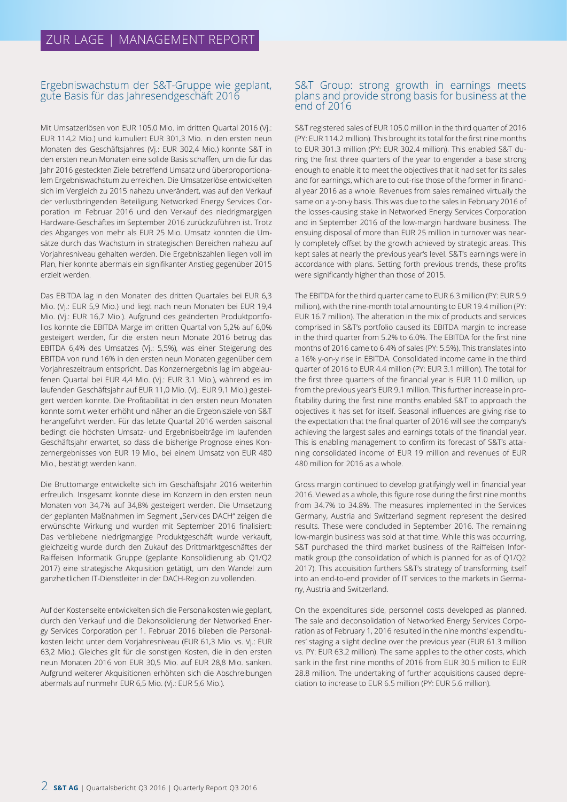## Ergebniswachstum der S&T-Gruppe wie geplant, gute Basis für das Jahresendgeschäft 2016

Mit Umsatzerlösen von EUR 105,0 Mio. im dritten Quartal 2016 (Vj.: EUR 114,2 Mio.) und kumuliert EUR 301,3 Mio. in den ersten neun Monaten des Geschäftsjahres (Vj.: EUR 302,4 Mio.) konnte S&T in den ersten neun Monaten eine solide Basis schaffen, um die für das Jahr 2016 gesteckten Ziele betreffend Umsatz und überproportionalem Ergebniswachstum zu erreichen. Die Umsatzerlöse entwickelten sich im Vergleich zu 2015 nahezu unverändert, was auf den Verkauf der verlustbringenden Beteiligung Networked Energy Services Corporation im Februar 2016 und den Verkauf des niedrigmargigen Hardware-Geschäftes im September 2016 zurückzuführen ist. Trotz des Abganges von mehr als EUR 25 Mio. Umsatz konnten die Umsätze durch das Wachstum in strategischen Bereichen nahezu auf Vorjahresniveau gehalten werden. Die Ergebniszahlen liegen voll im Plan, hier konnte abermals ein signifikanter Anstieg gegenüber 2015 erzielt werden.

Das EBITDA lag in den Monaten des dritten Quartales bei EUR 6,3 Mio. (Vj.: EUR 5,9 Mio.) und liegt nach neun Monaten bei EUR 19,4 Mio. (Vj.: EUR 16,7 Mio.). Aufgrund des geänderten Produktportfolios konnte die EBITDA Marge im dritten Quartal von 5,2% auf 6,0% gesteigert werden, für die ersten neun Monate 2016 betrug das EBITDA 6,4% des Umsatzes (Vj.: 5,5%), was einer Steigerung des EBITDA von rund 16% in den ersten neun Monaten gegenüber dem Vorjahreszeitraum entspricht. Das Konzernergebnis lag im abgelaufenen Quartal bei EUR 4,4 Mio. (Vj.: EUR 3,1 Mio.), während es im laufenden Geschäftsjahr auf EUR 11,0 Mio. (Vj.: EUR 9,1 Mio.) gesteigert werden konnte. Die Profitabilität in den ersten neun Monaten konnte somit weiter erhöht und näher an die Ergebnisziele von S&T herangeführt werden. Für das letzte Quartal 2016 werden saisonal bedingt die höchsten Umsatz- und Ergebnisbeiträge im laufenden Geschäftsjahr erwartet, so dass die bisherige Prognose eines Konzernergebnisses von EUR 19 Mio., bei einem Umsatz von EUR 480 Mio., bestätigt werden kann.

Die Bruttomarge entwickelte sich im Geschäftsjahr 2016 weiterhin erfreulich. Insgesamt konnte diese im Konzern in den ersten neun Monaten von 34,7% auf 34,8% gesteigert werden. Die Umsetzung der geplanten Maßnahmen im Segment "Services DACH" zeigen die erwünschte Wirkung und wurden mit September 2016 finalisiert: Das verbliebene niedrigmargige Produktgeschäft wurde verkauft, gleichzeitig wurde durch den Zukauf des Drittmarktgeschäftes der Raiffeisen Informatik Gruppe (geplante Konsolidierung ab Q1/Q2 2017) eine strategische Akquisition getätigt, um den Wandel zum ganzheitlichen IT-Dienstleiter in der DACH-Region zu vollenden.

Auf der Kostenseite entwickelten sich die Personalkosten wie geplant, durch den Verkauf und die Dekonsolidierung der Networked Energy Services Corporation per 1. Februar 2016 blieben die Personalkosten leicht unter dem Vorjahresniveau (EUR 61,3 Mio. vs. Vj.: EUR 63,2 Mio.). Gleiches gilt für die sonstigen Kosten, die in den ersten neun Monaten 2016 von EUR 30,5 Mio. auf EUR 28,8 Mio. sanken. Aufgrund weiterer Akquisitionen erhöhten sich die Abschreibungen abermals auf nunmehr EUR 6,5 Mio. (Vj.: EUR 5,6 Mio.).

#### S&T Group: strong growth in earnings meets plans and provide strong basis for business at the end of 2016

S&T registered sales of EUR 105.0 million in the third quarter of 2016 (PY: EUR 114.2 million). This brought its total for the first nine months to EUR 301.3 million (PY: EUR 302.4 million). This enabled S&T during the first three quarters of the year to engender a base strong enough to enable it to meet the objectives that it had set for its sales and for earnings, which are to out-rise those of the former in financial year 2016 as a whole. Revenues from sales remained virtually the same on a y-on-y basis. This was due to the sales in February 2016 of the losses-causing stake in Networked Energy Services Corporation and in September 2016 of the low-margin hardware business. The ensuing disposal of more than EUR 25 million in turnover was nearly completely offset by the growth achieved by strategic areas. This kept sales at nearly the previous year's level. S&T's earnings were in accordance with plans. Setting forth previous trends, these profits were significantly higher than those of 2015.

The EBITDA for the third quarter came to EUR 6.3 million (PY: EUR 5.9 million), with the nine-month total amounting to EUR 19.4 million (PY: EUR 16.7 million). The alteration in the mix of products and services comprised in S&T's portfolio caused its EBITDA margin to increase in the third quarter from 5.2% to 6.0%. The EBITDA for the first nine months of 2016 came to 6.4% of sales (PY: 5.5%). This translates into a 16% y-on-y rise in EBITDA. Consolidated income came in the third quarter of 2016 to EUR 4.4 million (PY: EUR 3.1 million). The total for the first three quarters of the financial year is EUR 11.0 million, up from the previous year's EUR 9.1 million. This further increase in profitability during the first nine months enabled S&T to approach the objectives it has set for itself. Seasonal influences are giving rise to the expectation that the final quarter of 2016 will see the company's achieving the largest sales and earnings totals of the financial year. This is enabling management to confirm its forecast of S&T's attaining consolidated income of EUR 19 million and revenues of EUR 480 million for 2016 as a whole.

Gross margin continued to develop gratifyingly well in financial year 2016. Viewed as a whole, this figure rose during the first nine months from 34.7% to 34.8%. The measures implemented in the Services Germany, Austria and Switzerland segment represent the desired results. These were concluded in September 2016. The remaining low-margin business was sold at that time. While this was occurring, S&T purchased the third market business of the Raiffeisen Informatik group (the consolidation of which is planned for as of Q1/Q2 2017). This acquisition furthers S&T's strategy of transforming itself into an end-to-end provider of IT services to the markets in Germany, Austria and Switzerland.

On the expenditures side, personnel costs developed as planned. The sale and deconsolidation of Networked Energy Services Corporation as of February 1, 2016 resulted in the nine months' expenditures' staging a slight decline over the previous year (EUR 61.3 million vs. PY: EUR 63.2 million). The same applies to the other costs, which sank in the first nine months of 2016 from EUR 30.5 million to EUR 28.8 million. The undertaking of further acquisitions caused depreciation to increase to EUR 6.5 million (PY: EUR 5.6 million).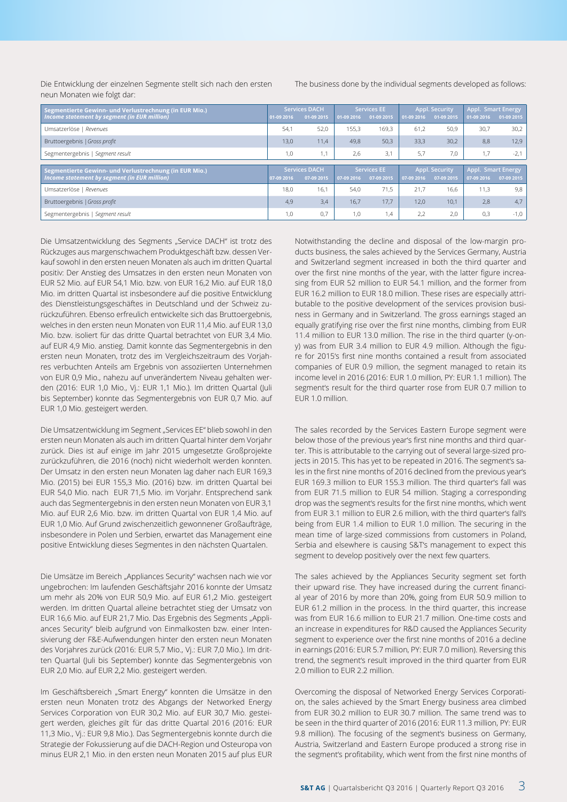Die Entwicklung der einzelnen Segmente stellt sich nach den ersten neun Monaten wie folgt dar:

The business done by the individual segments developed as follows:

| Segmentierte Gewinn- und Verlustrechnung (in EUR Mio.) |            | <b>Services DACH</b> |            | <b>Services EE</b> |            | <b>Appl. Security</b> |                    | <b>Appl. Smart Energy</b> |  |
|--------------------------------------------------------|------------|----------------------|------------|--------------------|------------|-----------------------|--------------------|---------------------------|--|
| Income statement by segment (in EUR million)           | 01-09 2016 | 01-09 2015           | 01-09 2016 | 01-09 2015         | 01-09 2016 | 01-09 2015            | 01-09 2016         | 01-09 2015                |  |
| Umsatzerlöse   Revenues                                | 54,1       | 52,0                 | 155.3      | 169.3              | 61.2       | 50,9                  | 30,7               | 30,2                      |  |
| Bruttoergebnis   Gross profit                          | 13.0       | 11.4                 | 49.8       | 50,3               | 33.3       | 30,2                  | 8.8                | 12,9                      |  |
| Segmentergebnis   Segment result                       | 1,0        | 1,1                  | 2,6        | 3,1                | 5,7        | 7,0                   | 1,7                | $-2,1$                    |  |
|                                                        |            |                      |            |                    |            |                       |                    |                           |  |
| Segmentierte Gewinn- und Verlustrechnung (in EUR Mio.) |            | <b>Services DACH</b> |            | <b>Services EE</b> |            | <b>Appl. Security</b> | Appl. Smart Energy |                           |  |
| Income statement by segment (in EUR million)           | 07-09 2016 | 07-09 2015           | 07-09 2016 | 07-09 2015         | 07-09 2016 | 07-09 2015            | 07-09 2016         | 07-09 2015                |  |
| Umsatzerlöse   Revenues                                | 18,0       | 16.1                 | 54.0       | 71.5               | 21,7       | 16.6                  | 11,3               | 9,8                       |  |
| Bruttoergebnis   Gross profit                          | 4,9        | 3.4                  | 16.7       | 17.7               | 12.0       | 10.1                  | 2.8                | 4,7                       |  |
| Segmentergebnis   Segment result                       | 1,0        | 0.7                  | 1,0        | 1,4                | 2,2        | 2,0                   | 0,3                | $-1,0$                    |  |

Die Umsatzentwicklung des Segments "Service DACH" ist trotz des Rückzuges aus margenschwachem Produktgeschäft bzw. dessen Verkauf sowohl in den ersten neuen Monaten als auch im dritten Quartal positiv: Der Anstieg des Umsatzes in den ersten neun Monaten von EUR 52 Mio. auf EUR 54,1 Mio. bzw. von EUR 16,2 Mio. auf EUR 18,0 Mio. im dritten Quartal ist insbesondere auf die positive Entwicklung des Dienstleistungsgeschäftes in Deutschland und der Schweiz zurückzuführen. Ebenso erfreulich entwickelte sich das Bruttoergebnis, welches in den ersten neun Monaten von EUR 11,4 Mio. auf EUR 13,0 Mio. bzw. isoliert für das dritte Quartal betrachtet von EUR 3,4 Mio. auf EUR 4,9 Mio. anstieg. Damit konnte das Segmentergebnis in den ersten neun Monaten, trotz des im Vergleichszeitraum des Vorjahres verbuchten Anteils am Ergebnis von assoziierten Unternehmen von EUR 0,9 Mio., nahezu auf unverändertem Niveau gehalten werden (2016: EUR 1,0 Mio., Vj.: EUR 1,1 Mio.). Im dritten Quartal (Juli bis September) konnte das Segmentergebnis von EUR 0,7 Mio. auf EUR 1,0 Mio. gesteigert werden.

Die Umsatzentwicklung im Segment "Services EE" blieb sowohl in den ersten neun Monaten als auch im dritten Quartal hinter dem Vorjahr zurück. Dies ist auf einige im Jahr 2015 umgesetzte Großprojekte zurückzuführen, die 2016 (noch) nicht wiederholt werden konnten. Der Umsatz in den ersten neun Monaten lag daher nach EUR 169,3 Mio. (2015) bei EUR 155,3 Mio. (2016) bzw. im dritten Quartal bei EUR 54,0 Mio. nach EUR 71,5 Mio. im Vorjahr. Entsprechend sank auch das Segmentergebnis in den ersten neun Monaten von EUR 3,1 Mio. auf EUR 2,6 Mio. bzw. im dritten Quartal von EUR 1,4 Mio. auf EUR 1,0 Mio. Auf Grund zwischenzeitlich gewonnener Großaufträge, insbesondere in Polen und Serbien, erwartet das Management eine positive Entwicklung dieses Segmentes in den nächsten Quartalen.

Die Umsätze im Bereich "Appliances Security" wachsen nach wie vor ungebrochen: Im laufenden Geschäftsjahr 2016 konnte der Umsatz um mehr als 20% von EUR 50,9 Mio. auf EUR 61,2 Mio. gesteigert werden. Im dritten Quartal alleine betrachtet stieg der Umsatz von EUR 16,6 Mio. auf EUR 21,7 Mio. Das Ergebnis des Segments "Appliances Security" bleib aufgrund von Einmalkosten bzw. einer Intensivierung der F&E-Aufwendungen hinter den ersten neun Monaten des Vorjahres zurück (2016: EUR 5,7 Mio., Vj.: EUR 7,0 Mio.). Im dritten Quartal (Juli bis September) konnte das Segmentergebnis von EUR 2,0 Mio. auf EUR 2,2 Mio. gesteigert werden.

Im Geschäftsbereich "Smart Energy" konnten die Umsätze in den ersten neun Monaten trotz des Abgangs der Networked Energy Services Corporation von EUR 30,2 Mio. auf EUR 30,7 Mio. gesteigert werden, gleiches gilt für das dritte Quartal 2016 (2016: EUR 11,3 Mio., Vj.: EUR 9,8 Mio.). Das Segmentergebnis konnte durch die Strategie der Fokussierung auf die DACH-Region und Osteuropa von minus EUR 2,1 Mio. in den ersten neun Monaten 2015 auf plus EUR

Notwithstanding the decline and disposal of the low-margin products business, the sales achieved by the Services Germany, Austria and Switzerland segment increased in both the third quarter and over the first nine months of the year, with the latter figure increasing from EUR 52 million to EUR 54.1 million, and the former from EUR 16.2 million to EUR 18.0 million. These rises are especially attributable to the positive development of the services provision business in Germany and in Switzerland. The gross earnings staged an equally gratifying rise over the first nine months, climbing from EUR 11.4 million to EUR 13.0 million. The rise in the third quarter (y-ony) was from EUR 3.4 million to EUR 4.9 million. Although the figure for 2015's first nine months contained a result from associated companies of EUR 0.9 million, the segment managed to retain its income level in 2016 (2016: EUR 1.0 million, PY: EUR 1.1 million). The segment's result for the third quarter rose from EUR 0.7 million to EUR 1.0 million.

The sales recorded by the Services Eastern Europe segment were below those of the previous year's first nine months and third quarter. This is attributable to the carrying out of several large-sized projects in 2015. This has yet to be repeated in 2016. The segment's sales in the first nine months of 2016 declined from the previous year's EUR 169.3 million to EUR 155.3 million. The third quarter's fall was from EUR 71.5 million to EUR 54 million. Staging a corresponding drop was the segment's results for the first nine months, which went from EUR 3.1 million to EUR 2.6 million, with the third quarter's fall's being from EUR 1.4 million to EUR 1.0 million. The securing in the mean time of large-sized commissions from customers in Poland, Serbia and elsewhere is causing S&T's management to expect this segment to develop positively over the next few quarters.

The sales achieved by the Appliances Security segment set forth their upward rise. They have increased during the current financial year of 2016 by more than 20%, going from EUR 50.9 million to EUR 61.2 million in the process. In the third quarter, this increase was from EUR 16.6 million to EUR 21.7 million. One-time costs and an increase in expenditures for R&D caused the Appliances Security segment to experience over the first nine months of 2016 a decline in earnings (2016: EUR 5.7 million, PY: EUR 7.0 million). Reversing this trend, the segment's result improved in the third quarter from EUR 2.0 million to EUR 2.2 million.

Overcoming the disposal of Networked Energy Services Corporation, the sales achieved by the Smart Energy business area climbed from EUR 30.2 million to EUR 30.7 million. The same trend was to be seen in the third quarter of 2016 (2016: EUR 11.3 million, PY: EUR 9.8 million). The focusing of the segment's business on Germany, Austria, Switzerland and Eastern Europe produced a strong rise in the segment's profitability, which went from the first nine months of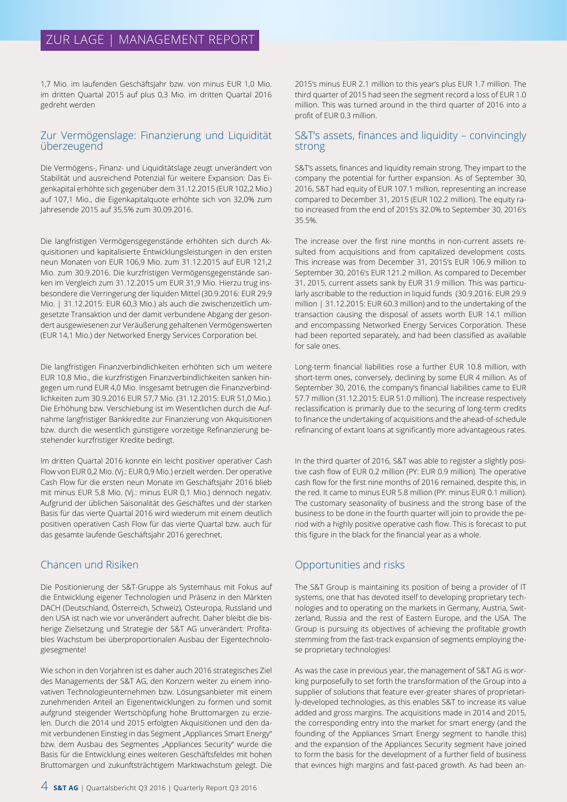# ZUR LAGE | MANAGEMENT REPORT

1,7 Mio. im laufenden Geschäftsjahr bzw. von minus EUR 1,0 Mio. im dritten Quartal 2015 auf plus 0,3 Mio. im dritten Quartal 2016 gedreht werden

## Zur Vermögenslage: Finanzierung und Liquidität überzeugend

Die Vermögens-, Finanz- und Liquiditätslage zeugt unverändert von Stabilität und ausreichend Potenzial für weitere Expansion: Das Eigenkapital erhöhte sich gegenüber dem 31.12.2015 (EUR 102,2 Mio.) auf 107,1 Mio., die Eigenkapitalquote erhöhte sich von 32,0% zum Jahresende 2015 auf 35,5% zum 30.09.2016.

Die langfristigen Vermögensgegenstände erhöhten sich durch Akquisitionen und kapitalisierte Entwicklungsleistungen in den ersten neun Monaten von EUR 106,9 Mio. zum 31.12.2015 auf EUR 121,2 Mio. zum 30.9.2016. Die kurzfristigen Vermögensgegenstände sanken im Vergleich zum 31.12.2015 um EUR 31,9 Mio. Hierzu trug insbesondere die Verringerung der liquiden Mittel (30.9.2016: EUR 29,9 Mio. | 31.12.2015: EUR 60,3 Mio.) als auch die zwischenzeitlich umgesetzte Transaktion und der damit verbundene Abgang der gesondert ausgewiesenen zur Veräußerung gehaltenen Vermögenswerten (EUR 14,1 Mio.) der Networked Energy Services Corporation bei.

Die langfristigen Finanzverbindlichkeiten erhöhten sich um weitere EUR 10,8 Mio., die kurzfristigen Finanzverbindlichkeiten sanken hingegen um rund EUR 4,0 Mio. Insgesamt betrugen die Finanzverbindlichkeiten zum 30.9.2016 EUR 57,7 Mio. (31.12.2015: EUR 51,0 Mio.). Die Erhöhung bzw. Verschiebung ist im Wesentlichen durch die Aufnahme langfristiger Bankkredite zur Finanzierung von Akquisitionen bzw. durch die wesentlich günstigere vorzeitige Refinanzierung bestehender kurzfristiger Kredite bedingt.

Im dritten Quartal 2016 konnte ein leicht positiver operativer Cash Flow von EUR 0,2 Mio. (Vj.: EUR 0,9 Mio.) erzielt werden. Der operative Cash Flow für die ersten neun Monate im Geschäftsjahr 2016 blieb mit minus EUR 5,8 Mio. (Vj.: minus EUR 0,1 Mio.) dennoch negativ. Aufgrund der üblichen Saisonalität des Geschäftes und der starken Basis für das vierte Quartal 2016 wird wiederum mit einem deutlich positiven operativen Cash Flow für das vierte Quartal bzw. auch für das gesamte laufende Geschäftsjahr 2016 gerechnet.

# Chancen und Risiken

Die Positionierung der S&T-Gruppe als Systemhaus mit Fokus auf die Entwicklung eigener Technologien und Präsenz in den Märkten DACH (Deutschland, Österreich, Schweiz), Osteuropa, Russland und den USA ist nach wie vor unverändert aufrecht. Daher bleibt die bisherige Zielsetzung und Strategie der S&T AG unverändert: Profitables Wachstum bei überproportionalen Ausbau der Eigentechnologiesegmente!

Wie schon in den Vorjahren ist es daher auch 2016 strategisches Ziel des Managements der S&T AG, den Konzern weiter zu einem innovativen Technologieunternehmen bzw. Lösungsanbieter mit einem zunehmenden Anteil an Eigenentwicklungen zu formen und somit aufgrund steigender Wertschöpfung hohe Bruttomargen zu erzielen. Durch die 2014 und 2015 erfolgten Akquisitionen und den damit verbundenen Einstieg in das Segment "Appliances Smart Energy" bzw. dem Ausbau des Segmentes "Appliances Security" wurde die Basis für die Entwicklung eines weiteren Geschäftsfeldes mit hohen Bruttomargen und zukunftsträchtigem Marktwachstum gelegt. Die

4 **S&T AG** | Quartalsbericht Q3 2016 | Quarterly Report Q3 2016

2015's minus EUR 2.1 million to this year's plus EUR 1.7 million. The third quarter of 2015 had seen the segment record a loss of EUR 1.0 million. This was turned around in the third quarter of 2016 into a profit of EUR 0.3 million.

## S&T's assets, finances and liquidity – convincingly strong

S&T's assets, finances and liquidity remain strong. They impart to the company the potential for further expansion. As of September 30, 2016, S&T had equity of EUR 107.1 million, representing an increase compared to December 31, 2015 (EUR 102.2 million). The equity ratio increased from the end of 2015's 32.0% to September 30, 2016's 35.5%.

The increase over the first nine months in non-current assets resulted from acquisitions and from capitalized development costs. This increase was from December 31, 2015's EUR 106.9 million to September 30, 2016's EUR 121.2 million. As compared to December 31, 2015, current assets sank by EUR 31.9 million. This was particularly ascribable to the reduction in liquid funds (30.9.2016: EUR 29.9 million | 31.12.2015: EUR 60.3 million) and to the undertaking of the transaction causing the disposal of assets worth EUR 14.1 million and encompassing Networked Energy Services Corporation. These had been reported separately, and had been classified as available for sale ones.

Long-term financial liabilities rose a further EUR 10.8 million, with short-term ones, conversely, declining by some EUR 4 million. As of September 30, 2016, the company's financial liabilities came to EUR 57.7 million (31.12.2015: EUR 51.0 million). The increase respectively reclassification is primarily due to the securing of long-term credits to finance the undertaking of acquisitions and the ahead-of-schedule refinancing of extant loans at significantly more advantageous rates.

In the third quarter of 2016, S&T was able to register a slightly positive cash flow of EUR 0.2 million (PY: EUR 0.9 million). The operative cash flow for the first nine months of 2016 remained, despite this, in the red. It came to minus EUR 5.8 million (PY: minus EUR 0.1 million). The customary seasonality of business and the strong base of the business to be done in the fourth quarter will join to provide the period with a highly positive operative cash flow. This is forecast to put this figure in the black for the financial year as a whole.

# Opportunities and risks

The S&T Group is maintaining its position of being a provider of IT systems, one that has devoted itself to developing proprietary technologies and to operating on the markets in Germany, Austria, Switzerland, Russia and the rest of Eastern Europe, and the USA. The Group is pursuing its objectives of achieving the profitable growth stemming from the fast-track expansion of segments employing these proprietary technologies!

As was the case in previous year, the management of S&T AG is working purposefully to set forth the transformation of the Group into a supplier of solutions that feature ever-greater shares of proprietarily-developed technologies, as this enables S&T to increase its value added and gross margins. The acquisitions made in 2014 and 2015, the corresponding entry into the market for smart energy (and the founding of the Appliances Smart Energy segment to handle this) and the expansion of the Appliances Security segment have joined to form the basis for the development of a further field of business that evinces high margins and fast-paced growth. As had been an-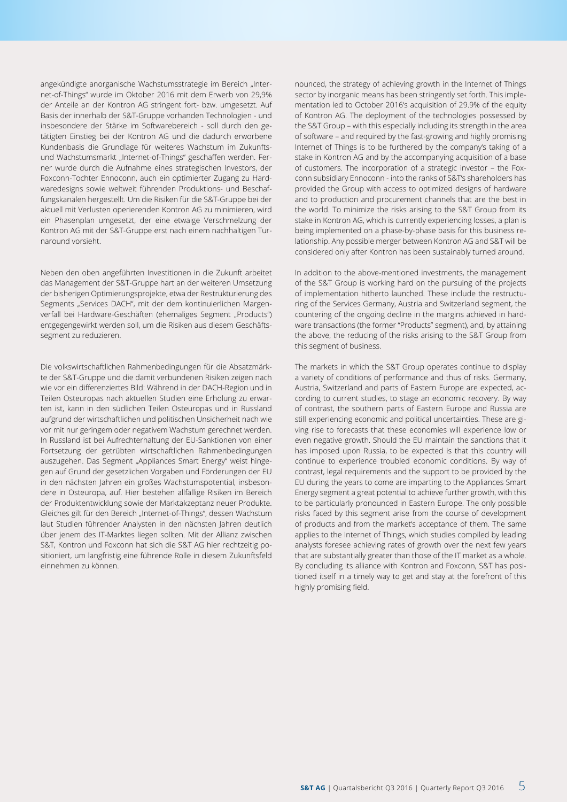angekündigte anorganische Wachstumsstrategie im Bereich "Internet-of-Things" wurde im Oktober 2016 mit dem Erwerb von 29,9% der Anteile an der Kontron AG stringent fort- bzw. umgesetzt. Auf Basis der innerhalb der S&T-Gruppe vorhanden Technologien - und insbesondere der Stärke im Softwarebereich - soll durch den getätigten Einstieg bei der Kontron AG und die dadurch erworbene Kundenbasis die Grundlage für weiteres Wachstum im Zukunftsund Wachstumsmarkt "Internet-of-Things" geschaffen werden. Ferner wurde durch die Aufnahme eines strategischen Investors, der Foxconn-Tochter Ennoconn, auch ein optimierter Zugang zu Hardwaredesigns sowie weltweit führenden Produktions- und Beschaffungskanälen hergestellt. Um die Risiken für die S&T-Gruppe bei der aktuell mit Verlusten operierenden Kontron AG zu minimieren, wird ein Phasenplan umgesetzt, der eine etwaige Verschmelzung der Kontron AG mit der S&T-Gruppe erst nach einem nachhaltigen Turnaround vorsieht.

Neben den oben angeführten Investitionen in die Zukunft arbeitet das Management der S&T-Gruppe hart an der weiteren Umsetzung der bisherigen Optimierungsprojekte, etwa der Restrukturierung des Segments "Services DACH", mit der dem kontinuierlichen Margenverfall bei Hardware-Geschäften (ehemaliges Segment "Products") entgegengewirkt werden soll, um die Risiken aus diesem Geschäftssegment zu reduzieren.

Die volkswirtschaftlichen Rahmenbedingungen für die Absatzmärkte der S&T-Gruppe und die damit verbundenen Risiken zeigen nach wie vor ein differenziertes Bild: Während in der DACH-Region und in Teilen Osteuropas nach aktuellen Studien eine Erholung zu erwarten ist, kann in den südlichen Teilen Osteuropas und in Russland aufgrund der wirtschaftlichen und politischen Unsicherheit nach wie vor mit nur geringem oder negativem Wachstum gerechnet werden. In Russland ist bei Aufrechterhaltung der EU-Sanktionen von einer Fortsetzung der getrübten wirtschaftlichen Rahmenbedingungen auszugehen. Das Segment "Appliances Smart Energy" weist hingegen auf Grund der gesetzlichen Vorgaben und Förderungen der EU in den nächsten Jahren ein großes Wachstumspotential, insbesondere in Osteuropa, auf. Hier bestehen allfällige Risiken im Bereich der Produktentwicklung sowie der Marktakzeptanz neuer Produkte. Gleiches gilt für den Bereich "Internet-of-Things", dessen Wachstum laut Studien führender Analysten in den nächsten Jahren deutlich über jenem des IT-Marktes liegen sollten. Mit der Allianz zwischen S&T, Kontron und Foxconn hat sich die S&T AG hier rechtzeitig positioniert, um langfristig eine führende Rolle in diesem Zukunftsfeld einnehmen zu können.

nounced, the strategy of achieving growth in the Internet of Things sector by inorganic means has been stringently set forth. This implementation led to October 2016's acquisition of 29.9% of the equity of Kontron AG. The deployment of the technologies possessed by the S&T Group – with this especially including its strength in the area of software – and required by the fast-growing and highly promising Internet of Things is to be furthered by the company's taking of a stake in Kontron AG and by the accompanying acquisition of a base of customers. The incorporation of a strategic investor – the Foxconn subsidiary Ennoconn - into the ranks of S&T's shareholders has provided the Group with access to optimized designs of hardware and to production and procurement channels that are the best in the world. To minimize the risks arising to the S&T Group from its stake in Kontron AG, which is currently experiencing losses, a plan is being implemented on a phase-by-phase basis for this business relationship. Any possible merger between Kontron AG and S&T will be considered only after Kontron has been sustainably turned around.

In addition to the above-mentioned investments, the management of the S&T Group is working hard on the pursuing of the projects of implementation hitherto launched. These include the restructuring of the Services Germany, Austria and Switzerland segment, the countering of the ongoing decline in the margins achieved in hardware transactions (the former "Products" segment), and, by attaining the above, the reducing of the risks arising to the S&T Group from this segment of business.

The markets in which the S&T Group operates continue to display a variety of conditions of performance and thus of risks. Germany, Austria, Switzerland and parts of Eastern Europe are expected, according to current studies, to stage an economic recovery. By way of contrast, the southern parts of Eastern Europe and Russia are still experiencing economic and political uncertainties. These are giving rise to forecasts that these economies will experience low or even negative growth. Should the EU maintain the sanctions that it has imposed upon Russia, to be expected is that this country will continue to experience troubled economic conditions. By way of contrast, legal requirements and the support to be provided by the EU during the years to come are imparting to the Appliances Smart Energy segment a great potential to achieve further growth, with this to be particularly pronounced in Eastern Europe. The only possible risks faced by this segment arise from the course of development of products and from the market's acceptance of them. The same applies to the Internet of Things, which studies compiled by leading analysts foresee achieving rates of growth over the next few years that are substantially greater than those of the IT market as a whole. By concluding its alliance with Kontron and Foxconn, S&T has positioned itself in a timely way to get and stay at the forefront of this highly promising field.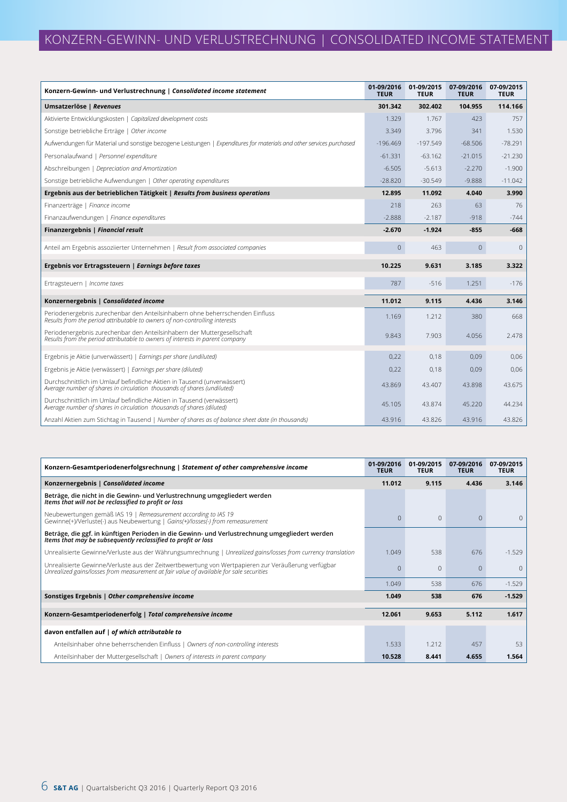| Konzern-Gewinn- und Verlustrechnung   Consolidated income statement                                                                                          | 01-09/2016<br><b>TEUR</b> | 01-09/2015<br><b>TEUR</b> | 07-09/2016<br><b>TEUR</b> | 07-09/2015<br><b>TEUR</b> |
|--------------------------------------------------------------------------------------------------------------------------------------------------------------|---------------------------|---------------------------|---------------------------|---------------------------|
| Umsatzerlöse   Revenues                                                                                                                                      | 301.342                   | 302.402                   | 104.955                   | 114.166                   |
| Aktivierte Entwicklungskosten   Capitalized development costs                                                                                                | 1.329                     | 1.767                     | 423                       | 757                       |
| Sonstige betriebliche Erträge   Other income                                                                                                                 | 3.349                     | 3.796                     | 341                       | 1.530                     |
| Aufwendungen für Material und sonstige bezogene Leistungen   Expenditures for materials and other services purchased                                         | $-196.469$                | $-197.549$                | $-68.506$                 | $-78.291$                 |
| Personalaufwand   Personnel expenditure                                                                                                                      | $-61.331$                 | $-63.162$                 | $-21.015$                 | $-21.230$                 |
| Abschreibungen   Depreciation and Amortization                                                                                                               | $-6.505$                  | $-5.613$                  | $-2.270$                  | $-1.900$                  |
| Sonstige betriebliche Aufwendungen   Other operating expenditures                                                                                            | $-28.820$                 | $-30.549$                 | $-9.888$                  | $-11.042$                 |
| Ergebnis aus der betrieblichen Tätigkeit   Results from business operations                                                                                  | 12.895                    | 11.092                    | 4.040                     | 3.990                     |
| Finanzerträge   Finance income                                                                                                                               | 218                       | 263                       | 63                        | 76                        |
| Finanzaufwendungen   Finance expenditures                                                                                                                    | $-2.888$                  | $-2.187$                  | $-918$                    | $-744$                    |
| Finanzergebnis   Financial result                                                                                                                            | $-2.670$                  | $-1.924$                  | $-855$                    | $-668$                    |
| Anteil am Ergebnis assoziierter Unternehmen   Result from associated companies                                                                               | $\mathsf{O}\xspace$       | 463                       | $\circ$                   | $\mathbf 0$               |
| Ergebnis vor Ertragssteuern   Earnings before taxes                                                                                                          | 10.225                    | 9.631                     | 3.185                     | 3.322                     |
| Ertragsteuern   Income taxes                                                                                                                                 | 787                       | $-516$                    | 1.251                     | $-176$                    |
| Konzernergebnis   Consolidated income                                                                                                                        | 11.012                    | 9.115                     | 4.436                     | 3.146                     |
| Periodenergebnis zurechenbar den Anteilsinhabern ohne beherrschenden Einfluss<br>Results from the period attributable to owners of non-controlling interests | 1.169                     | 1.212                     | 380                       | 668                       |
| Periodenergebnis zurechenbar den Anteilsinhabern der Muttergesellschaft<br>Results from the period attributable to owners of interests in parent company     | 9.843                     | 7.903                     | 4.056                     | 2.478                     |
| Ergebnis je Aktie (unverwässert)   Earnings per share (undiluted)                                                                                            | 0,22                      | 0,18                      | 0,09                      | 0,06                      |
| Ergebnis je Aktie (verwässert)   Earnings per share (diluted)                                                                                                | 0,22                      | 0,18                      | 0,09                      | 0,06                      |
| Durchschnittlich im Umlauf befindliche Aktien in Tausend (unverwässert)<br>Average number of shares in circulation thousands of shares (undiluted)           | 43.869                    | 43.407                    | 43.898                    | 43.675                    |
| Durchschnittlich im Umlauf befindliche Aktien in Tausend (verwässert)<br>Average number of shares in circulation thousands of shares (diluted)               | 45.105                    | 43.874                    | 45.220                    | 44.234                    |
| Anzahl Aktien zum Stichtag in Tausend   Number of shares as of balance sheet date (in thousands)                                                             | 43.916                    | 43.826                    | 43.916                    | 43.826                    |

| Konzern-Gesamtperiodenerfolgsrechnung   Statement of other comprehensive income                                                                                                                | 01-09/2016<br><b>TEUR</b> | 01-09/2015<br><b>TEUR</b> | 07-09/2016<br><b>TEUR</b> | 07-09/2015<br><b>TEUR</b> |
|------------------------------------------------------------------------------------------------------------------------------------------------------------------------------------------------|---------------------------|---------------------------|---------------------------|---------------------------|
| Konzernergebnis   Consolidated income                                                                                                                                                          | 11.012                    | 9.115                     | 4.436                     | 3.146                     |
| Beträge, die nicht in die Gewinn- und Verlustrechnung umgegliedert werden<br>Items that will not be reclassified to profit or loss                                                             |                           |                           |                           |                           |
| Neubewertungen gemäß IAS 19   Remeasurement according to IAS 19<br>Gewinne(+)/Verluste(-) aus Neubewertung   Gains(+)/losses(-) from remeasurement                                             | $\Omega$                  | $\Omega$                  | $\Omega$                  | $\Omega$                  |
| Beträge, die ggf. in künftigen Perioden in die Gewinn- und Verlustrechnung umgegliedert werden<br>Items that may be subsequently reclassified to profit or loss                                |                           |                           |                           |                           |
| Unrealisierte Gewinne/Verluste aus der Währungsumrechnung   Unrealized gains/losses from currency translation                                                                                  | 1.049                     | 538                       | 676                       | $-1.529$                  |
| Unrealisierte Gewinne/Verluste aus der Zeitwertbewertung von Wertpapieren zur Veräußerung verfügbar<br>Unrealized gains/losses from measurement at fair value of available for sale securities |                           | $\Omega$                  | $\Omega$                  | $\Omega$                  |
|                                                                                                                                                                                                | 1.049                     | 538                       | 676                       | $-1.529$                  |
| Sonstiges Ergebnis   Other comprehensive income                                                                                                                                                | 1.049                     | 538                       | 676                       | $-1.529$                  |
| Konzern-Gesamtperiodenerfolg   Total comprehensive income                                                                                                                                      | 12.061                    | 9.653                     | 5.112                     | 1.617                     |
| davon entfallen auf   of which attributable to                                                                                                                                                 |                           |                           |                           |                           |
| Anteilsinhaber ohne beherrschenden Einfluss   Owners of non-controlling interests                                                                                                              | 1.533                     | 1.212                     | 457                       | 53                        |
| Anteilsinhaber der Muttergesellschaft   Owners of interests in parent company                                                                                                                  | 10.528                    | 8.441                     | 4.655                     | 1.564                     |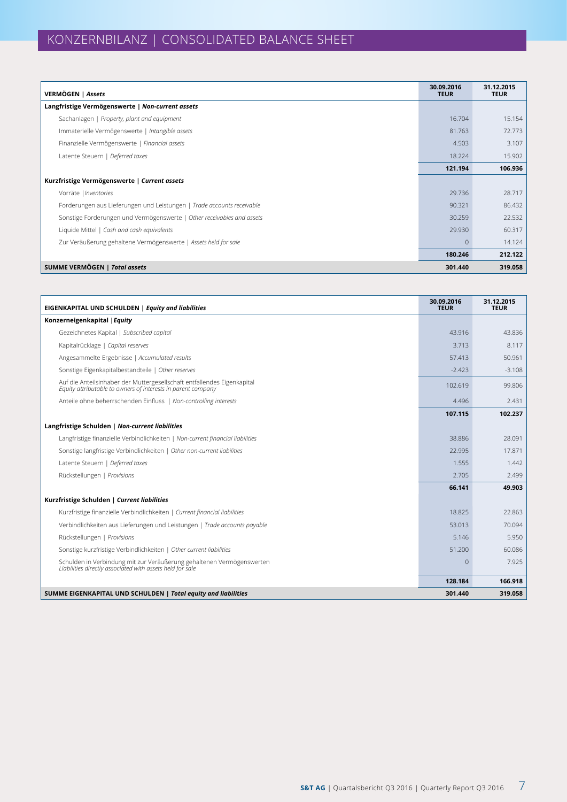| VERMÖGEN   Assets                                                      | 30.09.2016<br><b>TEUR</b> | 31.12.2015<br><b>TEUR</b> |
|------------------------------------------------------------------------|---------------------------|---------------------------|
| Langfristige Vermögenswerte   Non-current assets                       |                           |                           |
| Sachanlagen   Property, plant and equipment                            | 16.704                    | 15.154                    |
| Immaterielle Vermögenswerte   Intangible assets                        | 81.763                    | 72.773                    |
| Finanzielle Vermögenswerte   Financial assets                          | 4.503                     | 3.107                     |
| Latente Steuern   Deferred taxes                                       | 18.224                    | 15.902                    |
|                                                                        | 121.194                   | 106.936                   |
| Kurzfristige Vermögenswerte   Current assets                           |                           |                           |
| Vorräte   Inventories                                                  | 29.736                    | 28.717                    |
| Forderungen aus Lieferungen und Leistungen   Trade accounts receivable | 90.321                    | 86.432                    |
| Sonstige Forderungen und Vermögenswerte   Other receivables and assets | 30.259                    | 22.532                    |
| Liquide Mittel   Cash and cash equivalents                             | 29.930                    | 60.317                    |
| Zur Veräußerung gehaltene Vermögenswerte   Assets held for sale        | $\overline{0}$            | 14.124                    |
|                                                                        | 180.246                   | 212.122                   |
| <b>SUMME VERMÖGEN   Total assets</b>                                   | 301.440                   | 319.058                   |

| EIGENKAPITAL UND SCHULDEN   Equity and liabilities                                                                                      | 30.09.2016<br><b>TEUR</b> | 31.12.2015<br><b>TEUR</b> |
|-----------------------------------------------------------------------------------------------------------------------------------------|---------------------------|---------------------------|
| Konzerneigenkapital   Equity                                                                                                            |                           |                           |
| Gezeichnetes Kapital   Subscribed capital                                                                                               | 43.916                    | 43.836                    |
| Kapitalrücklage   Capital reserves                                                                                                      | 3.713                     | 8.117                     |
| Angesammelte Ergebnisse   Accumulated results                                                                                           | 57.413                    | 50.961                    |
| Sonstige Eigenkapitalbestandteile   Other reserves                                                                                      | $-2.423$                  | $-3.108$                  |
| Auf die Anteilsinhaber der Muttergesellschaft entfallendes Eigenkapital<br>Equity attributable to owners of interests in parent company | 102.619                   | 99.806                    |
| Anteile ohne beherrschenden Einfluss   Non-controlling interests                                                                        | 4.496                     | 2.431                     |
|                                                                                                                                         | 107.115                   | 102.237                   |
| Langfristige Schulden   Non-current liabilities                                                                                         |                           |                           |
| Langfristige finanzielle Verbindlichkeiten   Non-current financial liabilities                                                          | 38.886                    | 28.091                    |
| Sonstige langfristige Verbindlichkeiten   Other non-current liabilities                                                                 | 22.995                    | 17.871                    |
| Latente Steuern   Deferred taxes                                                                                                        | 1.555                     | 1.442                     |
| Rückstellungen   Provisions                                                                                                             | 2.705                     | 2.499                     |
|                                                                                                                                         | 66.141                    | 49.903                    |
| Kurzfristige Schulden   Current liabilities                                                                                             |                           |                           |
| Kurzfristige finanzielle Verbindlichkeiten   Current financial liabilities                                                              | 18.825                    | 22.863                    |
| Verbindlichkeiten aus Lieferungen und Leistungen   Trade accounts payable                                                               | 53.013                    | 70.094                    |
| Rückstellungen   Provisions                                                                                                             | 5.146                     | 5.950                     |
| Sonstige kurzfristige Verbindlichkeiten   Other current liabilities                                                                     | 51.200                    | 60.086                    |
| Schulden in Verbindung mit zur Veräußerung gehaltenen Vermögenswerten<br>Liabilities directly associated with assets held for sale      | $\Omega$                  | 7.925                     |
|                                                                                                                                         | 128.184                   | 166.918                   |
| SUMME EIGENKAPITAL UND SCHULDEN   Total equity and liabilities                                                                          | 301.440                   | 319.058                   |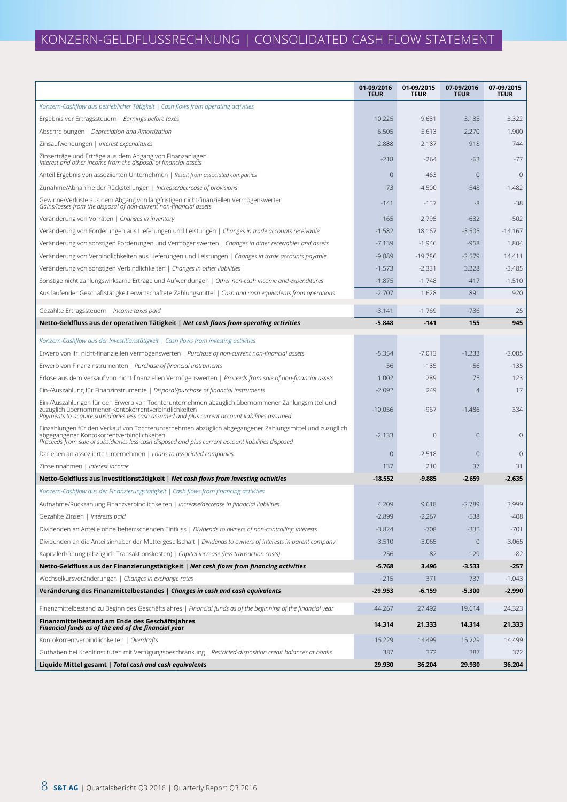# KONZERN-GELDFLUSSRECHNUNG | CONSOLIDATED CASH FLOW STATEMENT

|                                                                                                                                                                                                                                                               | 01-09/2016<br><b>TEUR</b> | 01-09/2015<br><b>TEUR</b> | 07-09/2016<br><b>TEUR</b> | 07-09/2015<br><b>TEUR</b> |
|---------------------------------------------------------------------------------------------------------------------------------------------------------------------------------------------------------------------------------------------------------------|---------------------------|---------------------------|---------------------------|---------------------------|
| Konzern-Cashflow aus betrieblicher Tätigkeit   Cash flows from operating activities                                                                                                                                                                           |                           |                           |                           |                           |
| Ergebnis vor Ertragssteuern   Earnings before taxes                                                                                                                                                                                                           | 10.225                    | 9.631                     | 3.185                     | 3.322                     |
| Abschreibungen   Depreciation and Amortization                                                                                                                                                                                                                | 6.505                     | 5.613                     | 2.270                     | 1.900                     |
| Zinsaufwendungen   Interest expenditures                                                                                                                                                                                                                      | 2.888                     | 2.187                     | 918                       | 744                       |
| Zinserträge und Erträge aus dem Abgang von Finanzanlagen<br>Interest and other income from the disposal of financial assets                                                                                                                                   | $-218$                    | $-264$                    | $-63$                     | $-77$                     |
| Anteil Ergebnis von assoziierten Unternehmen   Result from associated companies                                                                                                                                                                               | $\mathbf 0$               | $-463$                    | $\mathbf 0$               | $\overline{0}$            |
| Zunahme/Abnahme der Rückstellungen   Increase/decrease of provisions                                                                                                                                                                                          | $-73$                     | $-4.500$                  | $-548$                    | $-1.482$                  |
| Gewinne/Verluste aus dem Abgang von langfristigen nicht-finanziellen Vermögenswerten<br>Gains/losses from the disposal of non-current non-financial assets                                                                                                    | $-141$                    | -137                      | -8                        | $-38$                     |
| Veränderung von Vorräten   Changes in inventory                                                                                                                                                                                                               | 165                       | $-2.795$                  | $-632$                    | $-502$                    |
| Veränderung von Forderungen aus Lieferungen und Leistungen   Changes in trade accounts receivable                                                                                                                                                             | $-1.582$                  | 18.167                    | $-3.505$                  | $-14.167$                 |
| Veränderung von sonstigen Forderungen und Vermögenswerten   Changes in other receivables and assets                                                                                                                                                           | $-7.139$                  | $-1.946$                  | $-958$                    | 1.804                     |
| Veränderung von Verbindlichkeiten aus Lieferungen und Leistungen   Changes in trade accounts payable                                                                                                                                                          | $-9.889$                  | $-19.786$                 | $-2.579$                  | 14.411                    |
| Veränderung von sonstigen Verbindlichkeiten   Changes in other liabilities                                                                                                                                                                                    | $-1.573$                  | $-2.331$                  | 3.228                     | $-3.485$                  |
| Sonstige nicht zahlungswirksame Erträge und Aufwendungen   Other non-cash income and expenditures                                                                                                                                                             | $-1.875$                  | $-1.748$                  | $-417$                    | $-1.510$                  |
| Aus laufender Geschäftstätigkeit erwirtschaftete Zahlungsmittel   Cash and cash equivalents from operations                                                                                                                                                   | $-2.707$                  | 1.628                     | 891                       | 920                       |
| Gezahlte Ertragssteuern   Income taxes paid                                                                                                                                                                                                                   | $-3.141$                  | $-1.769$                  | $-736$                    | 25                        |
| Netto-Geldfluss aus der operativen Tätigkeit   Net cash flows from operating activities                                                                                                                                                                       | $-5.848$                  | $-141$                    | 155                       | 945                       |
| Konzern-Cashflow aus der Investitionstätigkeit   Cash flows from investing activities                                                                                                                                                                         |                           |                           |                           |                           |
| Erwerb von Ifr. nicht-finanziellen Vermögenswerten   Purchase of non-current non-financial assets                                                                                                                                                             | $-5.354$                  | $-7.013$                  | $-1.233$                  | $-3.005$                  |
| Erwerb von Finanzinstrumenten   Purchase of financial instruments                                                                                                                                                                                             | $-56$                     | $-135$                    | $-56$                     | $-135$                    |
| Erlöse aus dem Verkauf von nicht finanziellen Vermögenswerten   Proceeds from sale of non-financial assets                                                                                                                                                    | 1.002                     | 289                       | 75                        | 123                       |
| Ein-/Auszahlung für Finanzinstrumente   Disposal/purchase of financial instruments                                                                                                                                                                            | $-2.092$                  | 249                       | $\overline{4}$            | 17                        |
| Ein-/Auszahlungen für den Erwerb von Tochterunternehmen abzüglich übernommener Zahlungsmittel und<br>zuzüglich übernommener Kontokorrentverbindlichkeiten                                                                                                     | $-10.056$                 | $-967$                    | $-1.486$                  | 334                       |
| Payments to acquire subsidiaries less cash assumed and plus current account liabilities assumed                                                                                                                                                               |                           |                           |                           |                           |
| Einzahlungen für den Verkauf von Tochterunternehmen abzüglich abgegangener Zahlungsmittel und zuzügllich<br>abgegangener Kontokorrentverbindlichkeiten<br>Proceeds from sale of subsidiaries less cash disposed and plus current account liabilities disposed | $-2.133$                  | 0                         | $\mathbf 0$               | $\mathbf{0}$              |
| Darlehen an assoziierte Unternehmen   Loans to associated companies                                                                                                                                                                                           | $\mathbf{0}$              | $-2.518$                  | $\theta$                  | $\mathbf 0$               |
| Zinseinnahmen   Interest income                                                                                                                                                                                                                               | 137                       | 210                       | 37                        | 31                        |
| Netto-Geldfluss aus Investitionstätigkeit   Net cash flows from investing activities                                                                                                                                                                          | $-18.552$                 | $-9.885$                  | $-2.659$                  | $-2.635$                  |
| Konzern-Cashflow aus der Finanzierungstätigkeit   Cash flows from financing activities                                                                                                                                                                        |                           |                           |                           |                           |
| Aufnahme/Rückzahlung Finanzverbindlichkeiten   Increase/decrease in financial liabilities                                                                                                                                                                     | 4.209                     | 9.618                     | $-2.789$                  | 3.999                     |
| Gezahlte Zinsen   Interests paid                                                                                                                                                                                                                              | $-2.899$                  | $-2.267$                  | $-538$                    | $-408$                    |
| Dividenden an Anteile ohne beherrschenden Einfluss   Dividends to owners of non-controlling interests                                                                                                                                                         | $-3.824$                  | $-708$                    | $-335$                    | $-701$                    |
| Dividenden an die Anteilsinhaber der Muttergesellschaft   Dividends to owners of interests in parent company                                                                                                                                                  | $-3.510$                  | $-3.065$                  | $\mathbf 0$               | $-3.065$                  |
| Kapitalerhöhung (abzüglich Transaktionskosten)   Capital increase (less transaction costs)                                                                                                                                                                    | 256                       | $-82$                     | 129                       | $-82$                     |
| Netto-Geldfluss aus der Finanzierungstätigkeit   Net cash flows from financing activities                                                                                                                                                                     | $-5.768$                  | 3.496                     | $-3.533$                  | $-257$                    |
| Wechselkursveränderungen   Changes in exchange rates                                                                                                                                                                                                          | 215                       | 371                       | 737                       | $-1.043$                  |
| Veränderung des Finanzmittelbestandes   Changes in cash and cash equivalents                                                                                                                                                                                  | -29.953                   | $-6.159$                  | $-5.300$                  | $-2.990$                  |
| Finanzmittelbestand zu Beginn des Geschäftsjahres   Financial funds as of the beginning of the financial year                                                                                                                                                 | 44.267                    | 27.492                    | 19.614                    | 24.323                    |
| Finanzmittelbestand am Ende des Geschäftsjahres<br>Financial funds as of the end of the financial year                                                                                                                                                        | 14.314                    | 21.333                    | 14.314                    | 21.333                    |
| Kontokorrentverbindlichkeiten   Overdrafts                                                                                                                                                                                                                    | 15.229                    | 14.499                    | 15.229                    | 14.499                    |
| Guthaben bei Kreditinstituten mit Verfügungsbeschränkung   Restricted-disposition credit balances at banks                                                                                                                                                    | 387                       | 372                       | 387                       | 372                       |
| Liquide Mittel gesamt   Total cash and cash equivalents                                                                                                                                                                                                       | 29.930                    | 36.204                    | 29.930                    | 36.204                    |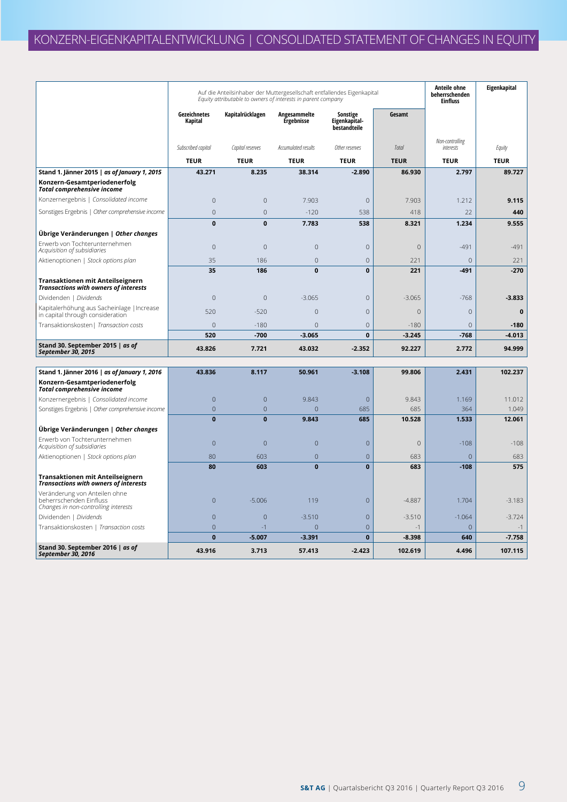|                                                                                                                   | Auf die Anteilsinhaber der Muttergesellschaft entfallendes Eigenkapital<br>Equity attributable to owners of interests in parent company |                  |                                   |                                           |              |                              | Eigenkapital |
|-------------------------------------------------------------------------------------------------------------------|-----------------------------------------------------------------------------------------------------------------------------------------|------------------|-----------------------------------|-------------------------------------------|--------------|------------------------------|--------------|
|                                                                                                                   | Gezeichnetes<br>Kapital                                                                                                                 | Kapitalrücklagen | Angesammelte<br><b>Ergebnisse</b> | Sonstige<br>Eigenkapital-<br>bestandteile | Gesamt       |                              |              |
|                                                                                                                   | Subscribed capital                                                                                                                      | Capital reserves | Accumulated results               | Other reserves                            | Total        | Non-controlling<br>interests | Equity       |
|                                                                                                                   | <b>TEUR</b>                                                                                                                             | <b>TEUR</b>      | <b>TEUR</b>                       | <b>TEUR</b>                               | <b>TEUR</b>  | <b>TEUR</b>                  | <b>TEUR</b>  |
| Stand 1. Jänner 2015   as of January 1, 2015                                                                      | 43.271                                                                                                                                  | 8.235            | 38.314                            | $-2.890$                                  | 86.930       | 2.797                        | 89.727       |
| Konzern-Gesamtperiodenerfolg<br><b>Total comprehensive income</b>                                                 |                                                                                                                                         |                  |                                   |                                           |              |                              |              |
| Konzernergebnis   Consolidated income                                                                             | $\overline{0}$                                                                                                                          | $\overline{0}$   | 7.903                             | $\mathbf{0}$                              | 7.903        | 1.212                        | 9.115        |
| Sonstiges Ergebnis   Other comprehensive income                                                                   | $\Omega$                                                                                                                                | $\mathbf{0}$     | $-120$                            | 538                                       | 418          | 22                           | 440          |
|                                                                                                                   | $\mathbf{0}$                                                                                                                            | $\mathbf 0$      | 7.783                             | 538                                       | 8.321        | 1.234                        | 9.555        |
| Übrige Veränderungen   Other changes                                                                              |                                                                                                                                         |                  |                                   |                                           |              |                              |              |
| Erwerb von Tochterunternehmen<br>Acquisition of subsidiaries                                                      | 0                                                                                                                                       | $\mathbf 0$      | $\mathbf{0}$                      | $\mathbf{0}$                              | $\Omega$     | $-491$                       | $-491$       |
| Aktienoptionen   Stock options plan                                                                               | 35                                                                                                                                      | 186              | $\overline{0}$                    | $\mathbf 0$                               | 221          | $\overline{0}$               | 221          |
|                                                                                                                   | 35                                                                                                                                      | 186              | $\mathbf 0$                       | $\mathbf 0$                               | 221          | -491                         | $-270$       |
| Transaktionen mit Anteilseignern<br><b>Transactions with owners of interests</b>                                  |                                                                                                                                         |                  |                                   |                                           |              |                              |              |
| Dividenden   Dividends                                                                                            | $\overline{0}$                                                                                                                          | $\mathbf{0}$     | $-3.065$                          | $\overline{0}$                            | $-3.065$     | $-768$                       | $-3.833$     |
| Kapitalerhöhung aus Sacheinlage   Increase<br>in capital through consideration                                    | 520                                                                                                                                     | $-520$           | $\overline{0}$                    | $\mathbf{0}$                              | $\mathbf{0}$ | $\mathbf{0}$                 | $\pmb{0}$    |
| Transaktionskosten   Transaction costs                                                                            | 0                                                                                                                                       | $-180$           | $\overline{0}$                    | $\overline{0}$                            | $-180$       | $\mathbf{0}$                 | $-180$       |
|                                                                                                                   | 520                                                                                                                                     | $-700$           | $-3.065$                          | $\mathbf{0}$                              | $-3.245$     | $-768$                       | $-4.013$     |
| Stand 30. September 2015   as of<br>September 30, 2015                                                            | 43.826                                                                                                                                  | 7.721            | 43.032                            | $-2.352$                                  | 92.227       | 2.772                        | 94.999       |
|                                                                                                                   |                                                                                                                                         |                  |                                   |                                           |              |                              |              |
| Stand 1. Jänner 2016   as of January 1, 2016<br>Konzern-Gesamtperiodenerfolg<br><b>Total comprehensive income</b> | 43.836                                                                                                                                  | 8.117            | 50.961                            | $-3.108$                                  | 99.806       | 2.431                        | 102.237      |
| Konzernergebnis   Consolidated income                                                                             | $\overline{0}$                                                                                                                          | $\mathbf 0$      | 9.843                             | $\overline{0}$                            | 9.843        | 1.169                        | 11.012       |
| Sonstiges Ergebnis   Other comprehensive income                                                                   | $\overline{0}$                                                                                                                          | $\overline{0}$   | $\overline{0}$                    | 685                                       | 685          | 364                          | 1.049        |
|                                                                                                                   | $\bf{0}$                                                                                                                                | $\bf{0}$         | 9.843                             | 685                                       | 10.528       | 1.533                        | 12.061       |
| Ubrige Veränderungen   Other changes                                                                              |                                                                                                                                         |                  |                                   |                                           |              |                              |              |
| Erwerb von Tochterunternehmen<br>Acquisition of subsidiaries                                                      | $\overline{0}$                                                                                                                          | $\overline{0}$   | $\overline{0}$                    | $\overline{0}$                            | $\mathbf{0}$ | $-108$                       | $-108$       |
| Aktienoptionen   Stock options plan                                                                               | 80                                                                                                                                      | 603              | $\overline{0}$                    | $\mathbf{0}$                              | 683          | $\overline{0}$               | 683          |
|                                                                                                                   | 80                                                                                                                                      | 603              | $\bf{0}$                          | $\mathbf{0}$                              | 683          | $-108$                       | 575          |
| Transaktionen mit Anteilseignern<br><b>Transactions with owners of interests</b>                                  |                                                                                                                                         |                  |                                   |                                           |              |                              |              |
| Veränderung von Anteilen ohne<br>beherrschenden Einfluss<br>Changes in non-controlling interests                  | $\overline{0}$                                                                                                                          | $-5.006$         | 119                               | $\mathbf{0}$                              | $-4.887$     | 1.704                        | $-3.183$     |
| Dividenden   Dividends                                                                                            | $\overline{0}$                                                                                                                          | $\overline{0}$   | $-3.510$                          | $\mathbf{0}$                              | $-3.510$     | $-1.064$                     | $-3.724$     |
| Transaktionskosten   Transaction costs                                                                            | $\overline{0}$                                                                                                                          | $-1$             | $\overline{0}$                    | $\overline{0}$                            | $-1$         | $\Omega$                     | $-1$         |
|                                                                                                                   | $\bf{0}$                                                                                                                                | $-5.007$         | $-3.391$                          | $\mathbf{0}$                              | $-8.398$     | 640                          | $-7.758$     |
| Stand 30. September 2016   as of<br>September 30, 2016                                                            | 43.916                                                                                                                                  | 3.713            | 57.413                            | $-2.423$                                  | 102.619      | 4.496                        | 107.115      |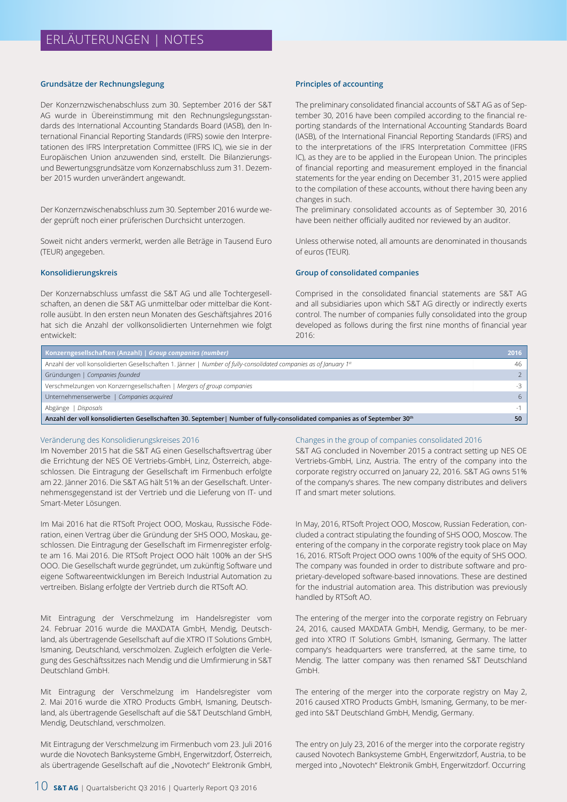#### **Grundsätze der Rechnungslegung**

Der Konzernzwischenabschluss zum 30. September 2016 der S&T AG wurde in Übereinstimmung mit den Rechnungslegungsstandards des International Accounting Standards Board (IASB), den International Financial Reporting Standards (IFRS) sowie den Interpretationen des IFRS Interpretation Committee (IFRS IC), wie sie in der Europäischen Union anzuwenden sind, erstellt. Die Bilanzierungsund Bewertungsgrundsätze vom Konzernabschluss zum 31. Dezember 2015 wurden unverändert angewandt.

Der Konzernzwischenabschluss zum 30. September 2016 wurde weder geprüft noch einer prüferischen Durchsicht unterzogen.

Soweit nicht anders vermerkt, werden alle Beträge in Tausend Euro (TEUR) angegeben.

#### **Konsolidierungskreis**

Der Konzernabschluss umfasst die S&T AG und alle Tochtergesellschaften, an denen die S&T AG unmittelbar oder mittelbar die Kontrolle ausübt. In den ersten neun Monaten des Geschäftsjahres 2016 hat sich die Anzahl der vollkonsolidierten Unternehmen wie folgt entwickelt:

#### **Principles of accounting**

The preliminary consolidated financial accounts of S&T AG as of September 30, 2016 have been compiled according to the financial reporting standards of the International Accounting Standards Board (IASB), of the International Financial Reporting Standards (IFRS) and to the interpretations of the IFRS Interpretation Committee (IFRS IC), as they are to be applied in the European Union. The principles of financial reporting and measurement employed in the financial statements for the year ending on December 31, 2015 were applied to the compilation of these accounts, without there having been any changes in such.

The preliminary consolidated accounts as of September 30, 2016 have been neither officially audited nor reviewed by an auditor.

Unless otherwise noted, all amounts are denominated in thousands of euros (TEUR).

#### **Group of consolidated companies**

Comprised in the consolidated financial statements are S&T AG and all subsidiaries upon which S&T AG directly or indirectly exerts control. The number of companies fully consolidated into the group developed as follows during the first nine months of financial year 2016:

| Konzerngesellschaften (Anzahl)   Group companies (number)                                                                 | 2016          |
|---------------------------------------------------------------------------------------------------------------------------|---------------|
| Anzahl der voll konsolidierten Gesellschaften 1. Jänner   Number of fully-consolidated companies as of January 1st        | 46            |
| Gründungen   Companies founded                                                                                            | $\mathcal{P}$ |
| Verschmelzungen von Konzerngesellschaften   Mergers of group companies                                                    | $-3$          |
| Unternehmenserwerbe   Companies acquired                                                                                  | 6             |
| Disposals<br>Abgänge                                                                                                      |               |
| Anzahl der voll konsolidierten Gesellschaften 30. September   Number of fully-consolidated companies as of September 30th | 50            |

#### Veränderung des Konsolidierungskreises 2016

Im November 2015 hat die S&T AG einen Gesellschaftsvertrag über die Errichtung der NES OE Vertriebs-GmbH, Linz, Österreich, abgeschlossen. Die Eintragung der Gesellschaft im Firmenbuch erfolgte am 22. Jänner 2016. Die S&T AG hält 51% an der Gesellschaft. Unternehmensgegenstand ist der Vertrieb und die Lieferung von IT- und Smart-Meter Lösungen.

Im Mai 2016 hat die RTSoft Project OOO, Moskau, Russische Föderation, einen Vertrag über die Gründung der SHS OOO, Moskau, geschlossen. Die Eintragung der Gesellschaft im Firmenregister erfolgte am 16. Mai 2016. Die RTSoft Project OOO hält 100% an der SHS OOO. Die Gesellschaft wurde gegründet, um zukünftig Software und eigene Softwareentwicklungen im Bereich Industrial Automation zu vertreiben. Bislang erfolgte der Vertrieb durch die RTSoft AO.

Mit Eintragung der Verschmelzung im Handelsregister vom 24. Februar 2016 wurde die MAXDATA GmbH, Mendig, Deutschland, als übertragende Gesellschaft auf die XTRO IT Solutions GmbH, Ismaning, Deutschland, verschmolzen. Zugleich erfolgten die Verlegung des Geschäftssitzes nach Mendig und die Umfirmierung in S&T Deutschland GmbH.

Mit Eintragung der Verschmelzung im Handelsregister vom 2. Mai 2016 wurde die XTRO Products GmbH, Ismaning, Deutschland, als übertragende Gesellschaft auf die S&T Deutschland GmbH, Mendig, Deutschland, verschmolzen.

Mit Eintragung der Verschmelzung im Firmenbuch vom 23. Juli 2016 wurde die Novotech Banksysteme GmbH, Engerwitzdorf, Österreich, als übertragende Gesellschaft auf die "Novotech" Elektronik GmbH,

#### Changes in the group of companies consolidated 2016

S&T AG concluded in November 2015 a contract setting up NES OE Vertriebs-GmbH, Linz, Austria. The entry of the company into the corporate registry occurred on January 22, 2016. S&T AG owns 51% of the company's shares. The new company distributes and delivers IT and smart meter solutions.

In May, 2016, RTSoft Project OOO, Moscow, Russian Federation, concluded a contract stipulating the founding of SHS OOO, Moscow. The entering of the company in the corporate registry took place on May 16, 2016. RTSoft Project OOO owns 100% of the equity of SHS OOO. The company was founded in order to distribute software and proprietary-developed software-based innovations. These are destined for the industrial automation area. This distribution was previously handled by RTSoft AO.

The entering of the merger into the corporate registry on February 24, 2016, caused MAXDATA GmbH, Mendig, Germany, to be merged into XTRO IT Solutions GmbH, Ismaning, Germany. The latter company's headquarters were transferred, at the same time, to Mendig. The latter company was then renamed S&T Deutschland GmbH.

The entering of the merger into the corporate registry on May 2, 2016 caused XTRO Products GmbH, Ismaning, Germany, to be merged into S&T Deutschland GmbH, Mendig, Germany.

The entry on July 23, 2016 of the merger into the corporate registry caused Novotech Banksysteme GmbH, Engerwitzdorf, Austria, to be merged into "Novotech" Elektronik GmbH, Engerwitzdorf. Occurring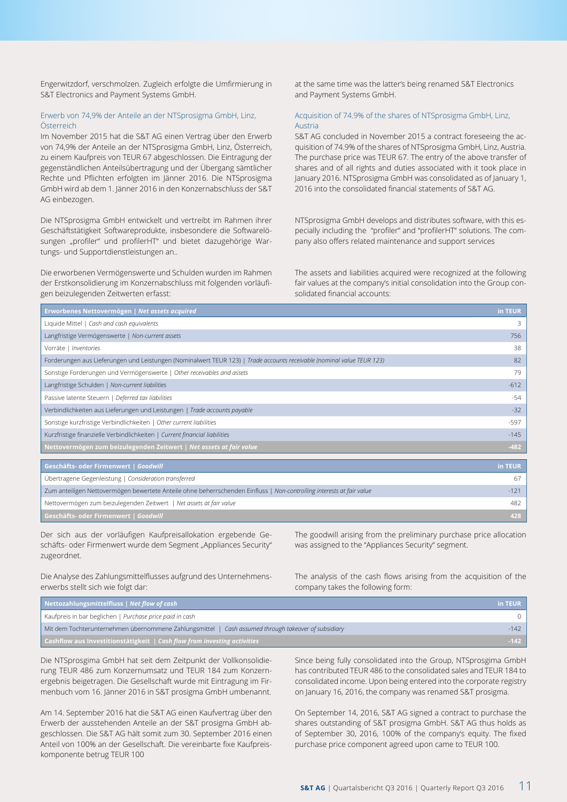Engerwitzdorf, verschmolzen. Zugleich erfolgte die Umfirmierung in S&T Electronics and Payment Systems GmbH.

#### Erwerb von 74,9% der Anteile an der NTSprosigma GmbH, Linz, Österreich

Im November 2015 hat die S&T AG einen Vertrag über den Erwerb von 74,9% der Anteile an der NTSprosigma GmbH, Linz, Österreich, zu einem Kaufpreis von TEUR 67 abgeschlossen. Die Eintragung der gegenständlichen Anteilsübertragung und der Übergang sämtlicher Rechte und Pflichten erfolgten im Jänner 2016. Die NTSprosigma GmbH wird ab dem 1. Jänner 2016 in den Konzernabschluss der S&T AG einbezogen.

Die NTSprosigma GmbH entwickelt und vertreibt im Rahmen ihrer Geschäftstätigkeit Softwareprodukte, insbesondere die Softwarelösungen "profiler" und profilerHT" und bietet dazugehörige Wartungs- und Supportdienstleistungen an..

Die erworbenen Vermögenswerte und Schulden wurden im Rahmen der Erstkonsolidierung im Konzernabschluss mit folgenden vorläufigen beizulegenden Zeitwerten erfasst:

at the same time was the latter's being renamed S&T Electronics and Payment Systems GmbH.

#### Acquisition of 74.9% of the shares of NTSprosigma GmbH, Linz, Austria

S&T AG concluded in November 2015 a contract foreseeing the acquisition of 74.9% of the shares of NTSprosigma GmbH, Linz, Austria. The purchase price was TEUR 67. The entry of the above transfer of shares and of all rights and duties associated with it took place in January 2016. NTSprosigma GmbH was consolidated as of January 1, 2016 into the consolidated financial statements of S&T AG.

NTSprosigma GmbH develops and distributes software, with this especially including the "profiler" and "profilerHT" solutions. The company also offers related maintenance and support services

The assets and liabilities acquired were recognized at the following fair values at the company's initial consolidation into the Group consolidated financial accounts:

| Erworbenes Nettovermögen   Net assets acquired                                                                         | in TEUR |
|------------------------------------------------------------------------------------------------------------------------|---------|
| Liquide Mittel   Cash and cash equivalents                                                                             | 3       |
| Langfristige Vermögenswerte   Non-current assets                                                                       | 756     |
| Vorräte   Inventories                                                                                                  | 38      |
| Forderungen aus Lieferungen und Leistungen (Nominalwert TEUR 123)   Trade accounts receivable (nominal value TEUR 123) | 82      |
| Sonstige Forderungen und Vermögenswerte   Other receivables and assets                                                 | 79      |
| Langfristige Schulden   Non-current liabilities                                                                        | $-612$  |
| Passive latente Steuern   Deferred tax liabilities                                                                     | $-54$   |
| Verbindlichkeiten aus Lieferungen und Leistungen   Trade accounts payable                                              | $-32$   |
| Sonstige kurzfristige Verbindlichkeiten   Other current liabilities                                                    | -597    |
| Kurzfristige finanzielle Verbindlichkeiten   Current financial liabilities                                             | $-145$  |
| Nettovermögen zum beizulegenden Zeitwert   Net assets at fair value                                                    | $-482$  |
|                                                                                                                        |         |
| Geschäfts- oder Firmenwert   Goodwill                                                                                  | in TEUR |
| Übertragene Gegenleistung   Consideration transferred                                                                  | 67      |
| Zum anteiligen Nettovermögen bewertete Anteile ohne beherrschenden Einfluss   Non-controlling interests at fair value  | $-121$  |
| Nettovermögen zum beizulegenden Zeitwert   Net assets at fair value                                                    | 482     |
| Geschäfts- oder Firmenwert   Goodwill                                                                                  | 428     |

Der sich aus der vorläufigen Kaufpreisallokation ergebende Geschäfts- oder Firmenwert wurde dem Segment "Appliances Security" zugeordnet.

Die Analyse des Zahlungsmittelflusses aufgrund des Unternehmens-

erwerbs stellt sich wie folgt dar:

The goodwill arising from the preliminary purchase price allocation was assigned to the "Appliances Security" segment.

The analysis of the cash flows arising from the acquisition of the company takes the following form:

| Nettozahlungsmittelfluss   Net flow of cash                                                            | in TEUR |
|--------------------------------------------------------------------------------------------------------|---------|
| Kaufpreis in bar beglichen   Purchase price paid in cash                                               |         |
| Mit dem Tochterunternehmen übernommene Zahlungsmittel   Cash assumed through takeover of subsidiary    | $-142$  |
| <b>Cashflow aus Investitionstätigkeit</b> $\overline{\phantom{a}}$ Cash flow from investing activities | $-142$  |

Die NTSprosgima GmbH hat seit dem Zeitpunkt der Vollkonsolidierung TEUR 486 zum Konzernumsatz und TEUR 184 zum Konzernergebnis beigetragen. Die Gesellschaft wurde mit Eintragung im Firmenbuch vom 16. Jänner 2016 in S&T prosigma GmbH umbenannt.

Am 14. September 2016 hat die S&T AG einen Kaufvertrag über den Erwerb der ausstehenden Anteile an der S&T prosigma GmbH abgeschlossen. Die S&T AG hält somit zum 30. September 2016 einen Anteil von 100% an der Gesellschaft. Die vereinbarte fixe Kaufpreiskomponente betrug TEUR 100

Since being fully consolidated into the Group, NTSprosgima GmbH has contributed TEUR 486 to the consolidated sales and TEUR 184 to consolidated income. Upon being entered into the corporate registry on January 16, 2016, the company was renamed S&T prosigma.

On September 14, 2016, S&T AG signed a contract to purchase the shares outstanding of S&T prosigma GmbH. S&T AG thus holds as of September 30, 2016, 100% of the company's equity. The fixed purchase price component agreed upon came to TEUR 100.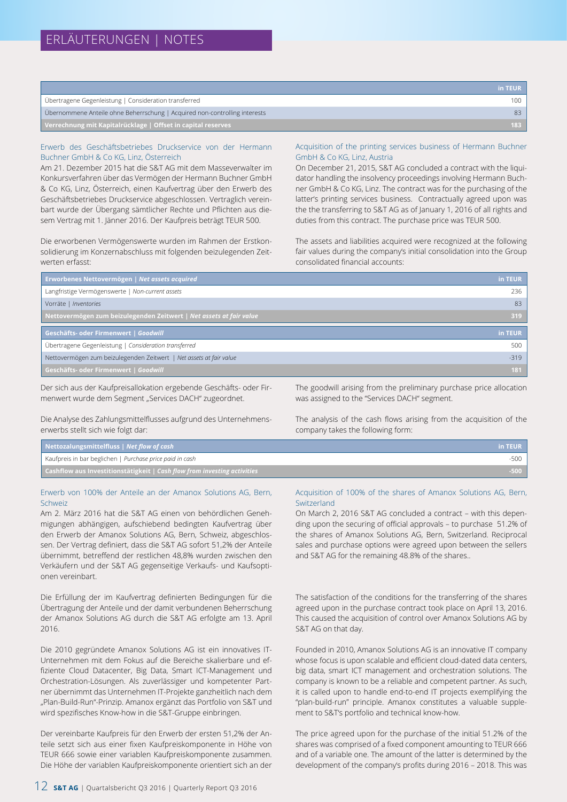|                                                                            | in TEUR |
|----------------------------------------------------------------------------|---------|
| Übertragene Gegenleistung   Consideration transferred                      | 100     |
| Übernommene Anteile ohne Beherrschung   Acquired non-controlling interests |         |
| Verrechnung mit Kapitalrücklage   Offset in capital reserves               | $183 -$ |

#### Erwerb des Geschäftsbetriebes Druckservice von der Hermann Buchner GmbH & Co KG, Linz, Österreich

Am 21. Dezember 2015 hat die S&T AG mit dem Masseverwalter im Konkursverfahren über das Vermögen der Hermann Buchner GmbH & Co KG, Linz, Österreich, einen Kaufvertrag über den Erwerb des Geschäftsbetriebes Druckservice abgeschlossen. Vertraglich vereinbart wurde der Übergang sämtlicher Rechte und Pflichten aus diesem Vertrag mit 1. Jänner 2016. Der Kaufpreis beträgt TEUR 500.

Die erworbenen Vermögenswerte wurden im Rahmen der Erstkonsolidierung im Konzernabschluss mit folgenden beizulegenden Zeitwerten erfasst:

#### Acquisition of the printing services business of Hermann Buchner GmbH & Co KG, Linz, Austria

On December 21, 2015, S&T AG concluded a contract with the liquidator handling the insolvency proceedings involving Hermann Buchner GmbH & Co KG, Linz. The contract was for the purchasing of the latter's printing services business. Contractually agreed upon was the the transferring to S&T AG as of January 1, 2016 of all rights and duties from this contract. The purchase price was TEUR 500.

The assets and liabilities acquired were recognized at the following fair values during the company's initial consolidation into the Group consolidated financial accounts:

| Erworbenes Nettovermögen   Net assets acquired                      | in TEUR |
|---------------------------------------------------------------------|---------|
| Langfristige Vermögenswerte   Non-current assets                    | 236     |
| Vorräte   Inventories                                               | 83      |
| Nettovermögen zum beizulegenden Zeitwert   Net assets at fair value | 319     |
|                                                                     |         |
| Geschäfts- oder Firmenwert   Goodwill                               | in TEUR |
| Übertragene Gegenleistung   Consideration transferred               | 500     |
| Nettovermögen zum beizulegenden Zeitwert   Net assets at fair value | $-319$  |

Der sich aus der Kaufpreisallokation ergebende Geschäfts- oder Firmenwert wurde dem Segment "Services DACH" zugeordnet.

Die Analyse des Zahlungsmittelflusses aufgrund des Unternehmenserwerbs stellt sich wie folgt dar:

The goodwill arising from the preliminary purchase price allocation was assigned to the "Services DACH" segment.

The analysis of the cash flows arising from the acquisition of the company takes the following form:

| Nettozalungsmittelfluss   Net flow of cash                               | in TEUR |
|--------------------------------------------------------------------------|---------|
| Kaufpreis in bar beglichen   Purchase price paid in cash                 |         |
| Cashflow aus Investitionstätigkeit   Cash flow from investing activities | $-500$  |

#### Erwerb von 100% der Anteile an der Amanox Solutions AG, Bern, Schweiz

Am 2. März 2016 hat die S&T AG einen von behördlichen Genehmigungen abhängigen, aufschiebend bedingten Kaufvertrag über den Erwerb der Amanox Solutions AG, Bern, Schweiz, abgeschlossen. Der Vertrag definiert, dass die S&T AG sofort 51,2% der Anteile übernimmt, betreffend der restlichen 48,8% wurden zwischen den Verkäufern und der S&T AG gegenseitige Verkaufs- und Kaufsoptionen vereinbart.

Die Erfüllung der im Kaufvertrag definierten Bedingungen für die Übertragung der Anteile und der damit verbundenen Beherrschung der Amanox Solutions AG durch die S&T AG erfolgte am 13. April 2016.

Die 2010 gegründete Amanox Solutions AG ist ein innovatives IT-Unternehmen mit dem Fokus auf die Bereiche skalierbare und effiziente Cloud Datacenter, Big Data, Smart ICT-Management und Orchestration-Lösungen. Als zuverlässiger und kompetenter Partner übernimmt das Unternehmen IT-Projekte ganzheitlich nach dem "Plan-Build-Run"-Prinzip. Amanox ergänzt das Portfolio von S&T und wird spezifisches Know-how in die S&T-Gruppe einbringen.

Der vereinbarte Kaufpreis für den Erwerb der ersten 51,2% der Anteile setzt sich aus einer fixen Kaufpreiskomponente in Höhe von TEUR 666 sowie einer variablen Kaufpreiskomponente zusammen. Die Höhe der variablen Kaufpreiskomponente orientiert sich an der

#### Acquisition of 100% of the shares of Amanox Solutions AG, Bern, **Switzerland**

On March 2, 2016 S&T AG concluded a contract – with this depending upon the securing of official approvals – to purchase 51.2% of the shares of Amanox Solutions AG, Bern, Switzerland. Reciprocal sales and purchase options were agreed upon between the sellers and S&T AG for the remaining 48.8% of the shares..

The satisfaction of the conditions for the transferring of the shares agreed upon in the purchase contract took place on April 13, 2016. This caused the acquisition of control over Amanox Solutions AG by S&T AG on that day.

Founded in 2010, Amanox Solutions AG is an innovative IT company whose focus is upon scalable and efficient cloud-dated data centers, big data, smart ICT management and orchestration solutions. The company is known to be a reliable and competent partner. As such, it is called upon to handle end-to-end IT projects exemplifying the "plan-build-run" principle. Amanox constitutes a valuable supplement to S&T's portfolio and technical know-how.

The price agreed upon for the purchase of the initial 51.2% of the shares was comprised of a fixed component amounting to TEUR 666 and of a variable one. The amount of the latter is determined by the development of the company's profits during 2016 – 2018. This was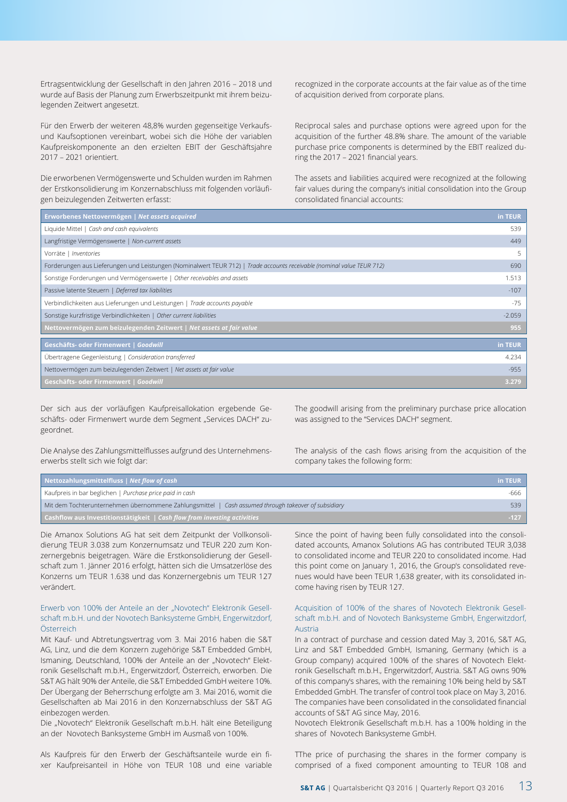Ertragsentwicklung der Gesellschaft in den Jahren 2016 – 2018 und wurde auf Basis der Planung zum Erwerbszeitpunkt mit ihrem beizulegenden Zeitwert angesetzt.

Für den Erwerb der weiteren 48,8% wurden gegenseitige Verkaufsund Kaufsoptionen vereinbart, wobei sich die Höhe der variablen Kaufpreiskomponente an den erzielten EBIT der Geschäftsjahre 2017 – 2021 orientiert.

Die erworbenen Vermögenswerte und Schulden wurden im Rahmen der Erstkonsolidierung im Konzernabschluss mit folgenden vorläufigen beizulegenden Zeitwerten erfasst:

recognized in the corporate accounts at the fair value as of the time of acquisition derived from corporate plans.

Reciprocal sales and purchase options were agreed upon for the acquisition of the further 48.8% share. The amount of the variable purchase price components is determined by the EBIT realized during the 2017 – 2021 financial years.

The assets and liabilities acquired were recognized at the following fair values during the company's initial consolidation into the Group consolidated financial accounts:

| Erworbenes Nettovermögen   Net assets acquired                                                                         | in TEUR  |
|------------------------------------------------------------------------------------------------------------------------|----------|
| Liquide Mittel   Cash and cash equivalents                                                                             | 539      |
| Langfristige Vermögenswerte   Non-current assets                                                                       | 449      |
| Vorräte   Inventories                                                                                                  | 5        |
| Forderungen aus Lieferungen und Leistungen (Nominalwert TEUR 712)   Trade accounts receivable (nominal value TEUR 712) | 690      |
| Sonstige Forderungen und Vermögenswerte   Other receivables and assets                                                 | 1.513    |
| Passive latente Steuern   Deferred tax liabilities                                                                     | $-107$   |
| Verbindlichkeiten aus Lieferungen und Leistungen   Trade accounts payable                                              | -75      |
| Sonstige kurzfristige Verbindlichkeiten   Other current liabilities                                                    | $-2.059$ |
| Nettovermögen zum beizulegenden Zeitwert   Net assets at fair value                                                    | 955      |
| Geschäfts- oder Firmenwert   Goodwill                                                                                  | in TEUR  |
| Übertragene Gegenleistung   Consideration transferred                                                                  | 4.234    |
| Nettovermögen zum beizulegenden Zeitwert   Net assets at fair value                                                    | $-955$   |
| Geschäfts- oder Firmenwert   Goodwill                                                                                  | 3.279    |

Der sich aus der vorläufigen Kaufpreisallokation ergebende Geschäfts- oder Firmenwert wurde dem Segment "Services DACH" zugeordnet.

The goodwill arising from the preliminary purchase price allocation was assigned to the "Services DACH" segment.

Die Analyse des Zahlungsmittelflusses aufgrund des Unternehmenserwerbs stellt sich wie folgt dar:

The analysis of the cash flows arising from the acquisition of the company takes the following form:

| Nettozahlungsmittelfluss   Net flow of cash                                                         | in TEUR |
|-----------------------------------------------------------------------------------------------------|---------|
| Kaufpreis in bar beglichen   Purchase price paid in cash                                            | -666    |
| Mit dem Tochterunternehmen übernommene Zahlungsmittel   Cash assumed through takeover of subsidiary | 539     |
| <b>Cashflow aus Investitionstätigkeit</b>   Cash flow from investing activities                     | $-127$  |

Die Amanox Solutions AG hat seit dem Zeitpunkt der Vollkonsolidierung TEUR 3.038 zum Konzernumsatz und TEUR 220 zum Konzernergebnis beigetragen. Wäre die Erstkonsolidierung der Gesellschaft zum 1. Jänner 2016 erfolgt, hätten sich die Umsatzerlöse des Konzerns um TEUR 1.638 und das Konzernergebnis um TEUR 127 verändert.

#### Erwerb von 100% der Anteile an der "Novotech" Elektronik Gesellschaft m.b.H. und der Novotech Banksysteme GmbH, Engerwitzdorf, Österreich

Mit Kauf- und Abtretungsvertrag vom 3. Mai 2016 haben die S&T AG, Linz, und die dem Konzern zugehörige S&T Embedded GmbH, Ismaning, Deutschland, 100% der Anteile an der "Novotech" Elektronik Gesellschaft m.b.H., Engerwitzdorf, Österreich, erworben. Die S&T AG hält 90% der Anteile, die S&T Embedded GmbH weitere 10%. Der Übergang der Beherrschung erfolgte am 3. Mai 2016, womit die Gesellschaften ab Mai 2016 in den Konzernabschluss der S&T AG einbezogen werden.

Die "Novotech" Elektronik Gesellschaft m.b.H. hält eine Beteiligung an der Novotech Banksysteme GmbH im Ausmaß von 100%.

Als Kaufpreis für den Erwerb der Geschäftsanteile wurde ein fixer Kaufpreisanteil in Höhe von TEUR 108 und eine variable

Since the point of having been fully consolidated into the consolidated accounts, Amanox Solutions AG has contributed TEUR 3,038 to consolidated income and TEUR 220 to consolidated income. Had this point come on January 1, 2016, the Group's consolidated revenues would have been TEUR 1,638 greater, with its consolidated income having risen by TEUR 127.

#### Acquisition of 100% of the shares of Novotech Elektronik Gesellschaft m.b.H. and of Novotech Banksysteme GmbH, Engerwitzdorf, Austria

In a contract of purchase and cession dated May 3, 2016, S&T AG, Linz and S&T Embedded GmbH, Ismaning, Germany (which is a Group company) acquired 100% of the shares of Novotech Elektronik Gesellschaft m.b.H., Engerwitzdorf, Austria. S&T AG owns 90% of this company's shares, with the remaining 10% being held by S&T Embedded GmbH. The transfer of control took place on May 3, 2016. The companies have been consolidated in the consolidated financial accounts of S&T AG since May, 2016.

Novotech Elektronik Gesellschaft m.b.H. has a 100% holding in the shares of Novotech Banksysteme GmbH.

TThe price of purchasing the shares in the former company is comprised of a fixed component amounting to TEUR 108 and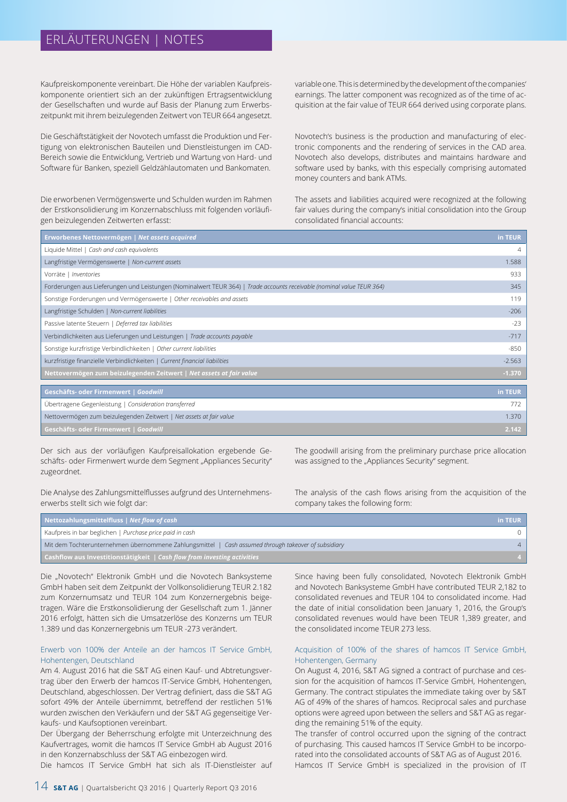# ERLÄUTERUNGEN | NOTES

Kaufpreiskomponente vereinbart. Die Höhe der variablen Kaufpreiskomponente orientiert sich an der zukünftigen Ertragsentwicklung der Gesellschaften und wurde auf Basis der Planung zum Erwerbszeitpunkt mit ihrem beizulegenden Zeitwert von TEUR 664 angesetzt.

Die Geschäftstätigkeit der Novotech umfasst die Produktion und Fertigung von elektronischen Bauteilen und Dienstleistungen im CAD-Bereich sowie die Entwicklung, Vertrieb und Wartung von Hard- und Software für Banken, speziell Geldzählautomaten und Bankomaten.

Die erworbenen Vermögenswerte und Schulden wurden im Rahmen der Erstkonsolidierung im Konzernabschluss mit folgenden vorläufigen beizulegenden Zeitwerten erfasst:

variable one. This is determined by the development of the companies' earnings. The latter component was recognized as of the time of acquisition at the fair value of TEUR 664 derived using corporate plans.

Novotech's business is the production and manufacturing of electronic components and the rendering of services in the CAD area. Novotech also develops, distributes and maintains hardware and software used by banks, with this especially comprising automated money counters and bank ATMs.

The assets and liabilities acquired were recognized at the following fair values during the company's initial consolidation into the Group consolidated financial accounts:

| Erworbenes Nettovermögen   Net assets acquired                                                                         | in TEUR  |
|------------------------------------------------------------------------------------------------------------------------|----------|
| Liquide Mittel   Cash and cash equivalents                                                                             | 4        |
| Langfristige Vermögenswerte   Non-current assets                                                                       | 1.588    |
| Vorräte   Inventories                                                                                                  | 933      |
| Forderungen aus Lieferungen und Leistungen (Nominalwert TEUR 364)   Trade accounts receivable (nominal value TEUR 364) | 345      |
| Sonstige Forderungen und Vermögenswerte   Other receivables and assets                                                 | 119      |
| Langfristige Schulden   Non-current liabilities                                                                        | $-206$   |
| Passive latente Steuern   Deferred tax liabilities                                                                     | $-23$    |
| Verbindlichkeiten aus Lieferungen und Leistungen   Trade accounts payable                                              | $-717$   |
| Sonstige kurzfristige Verbindlichkeiten   Other current liabilities                                                    | $-850$   |
| kurzfristige finanzielle Verbindlichkeiten   Current financial liabilities                                             | $-2.563$ |
| Nettovermögen zum beizulegenden Zeitwert   Net assets at fair value                                                    | $-1.370$ |
|                                                                                                                        |          |
| Geschäfts- oder Firmenwert   Goodwill                                                                                  | in TEUR  |
| Übertragene Gegenleistung   Consideration transferred                                                                  | 772      |
| Nettovermögen zum beizulegenden Zeitwert   Net assets at fair value                                                    | 1.370    |
| Geschäfts- oder Firmenwert   Goodwill                                                                                  | 2.142    |

Der sich aus der vorläufigen Kaufpreisallokation ergebende Geschäfts- oder Firmenwert wurde dem Segment "Appliances Security" zugeordnet.

Die Analyse des Zahlungsmittelflusses aufgrund des Unternehmenserwerbs stellt sich wie folgt dar:

The goodwill arising from the preliminary purchase price allocation was assigned to the "Appliances Security" segment.

The analysis of the cash flows arising from the acquisition of the company takes the following form:

| Nettozahlungsmittelfluss   Net flow of cash                                                         | in TEUR |
|-----------------------------------------------------------------------------------------------------|---------|
| Kaufpreis in bar beglichen   Purchase price paid in cash                                            |         |
| Mit dem Tochterunternehmen übernommene Zahlungsmittel   Cash assumed through takeover of subsidiary |         |
| <b>Cashflow aus Investitionstätigkeit</b>   Cash flow from investing activities                     |         |

Die "Novotech" Elektronik GmbH und die Novotech Banksysteme GmbH haben seit dem Zeitpunkt der Vollkonsolidierung TEUR 2.182 zum Konzernumsatz und TEUR 104 zum Konzernergebnis beigetragen. Wäre die Erstkonsolidierung der Gesellschaft zum 1. Jänner 2016 erfolgt, hätten sich die Umsatzerlöse des Konzerns um TEUR 1.389 und das Konzernergebnis um TEUR -273 verändert.

#### Erwerb von 100% der Anteile an der hamcos IT Service GmbH, Hohentengen, Deutschland

Am 4. August 2016 hat die S&T AG einen Kauf- und Abtretungsvertrag über den Erwerb der hamcos IT-Service GmbH, Hohentengen, Deutschland, abgeschlossen. Der Vertrag definiert, dass die S&T AG sofort 49% der Anteile übernimmt, betreffend der restlichen 51% wurden zwischen den Verkäufern und der S&T AG gegenseitige Verkaufs- und Kaufsoptionen vereinbart.

Der Übergang der Beherrschung erfolgte mit Unterzeichnung des Kaufvertrages, womit die hamcos IT Service GmbH ab August 2016 in den Konzernabschluss der S&T AG einbezogen wird.

Die hamcos IT Service GmbH hat sich als IT-Dienstleister auf

Since having been fully consolidated, Novotech Elektronik GmbH and Novotech Banksysteme GmbH have contributed TEUR 2,182 to consolidated revenues and TEUR 104 to consolidated income. Had the date of initial consolidation been January 1, 2016, the Group's consolidated revenues would have been TEUR 1,389 greater, and the consolidated income TEUR 273 less.

#### Acquisition of 100% of the shares of hamcos IT Service GmbH, Hohentengen, Germany

On August 4, 2016, S&T AG signed a contract of purchase and cession for the acquisition of hamcos IT-Service GmbH, Hohentengen, Germany. The contract stipulates the immediate taking over by S&T AG of 49% of the shares of hamcos. Reciprocal sales and purchase options were agreed upon between the sellers and S&T AG as regarding the remaining 51% of the equity.

The transfer of control occurred upon the signing of the contract of purchasing. This caused hamcos IT Service GmbH to be incorporated into the consolidated accounts of S&T AG as of August 2016. Hamcos IT Service GmbH is specialized in the provision of IT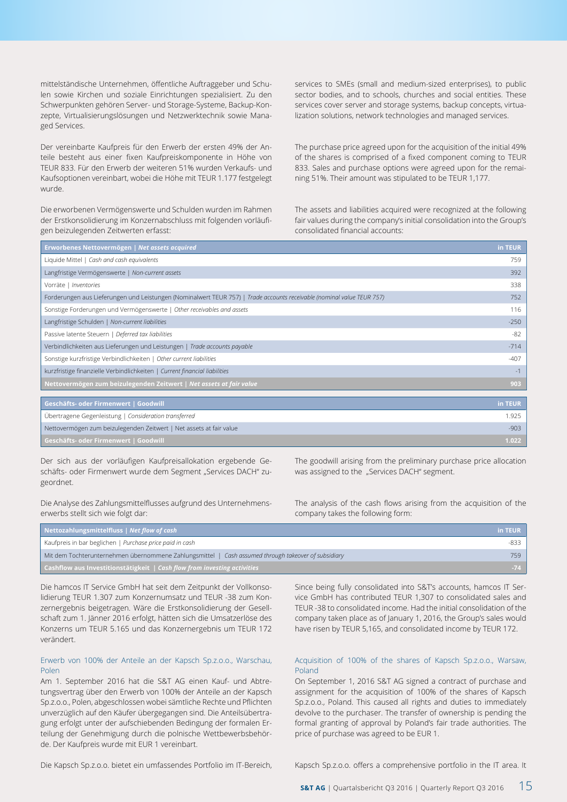mittelständische Unternehmen, öffentliche Auftraggeber und Schulen sowie Kirchen und soziale Einrichtungen spezialisiert. Zu den Schwerpunkten gehören Server- und Storage-Systeme, Backup-Konzepte, Virtualisierungslösungen und Netzwerktechnik sowie Managed Services.

Der vereinbarte Kaufpreis für den Erwerb der ersten 49% der Anteile besteht aus einer fixen Kaufpreiskomponente in Höhe von TEUR 833. Für den Erwerb der weiteren 51% wurden Verkaufs- und Kaufsoptionen vereinbart, wobei die Höhe mit TEUR 1.177 festgelegt wurde.

Die erworbenen Vermögenswerte und Schulden wurden im Rahmen der Erstkonsolidierung im Konzernabschluss mit folgenden vorläufigen beizulegenden Zeitwerten erfasst:

services to SMEs (small and medium-sized enterprises), to public sector bodies, and to schools, churches and social entities. These services cover server and storage systems, backup concepts, virtualization solutions, network technologies and managed services.

The purchase price agreed upon for the acquisition of the initial 49% of the shares is comprised of a fixed component coming to TEUR 833. Sales and purchase options were agreed upon for the remaining 51%. Their amount was stipulated to be TEUR 1,177.

The assets and liabilities acquired were recognized at the following fair values during the company's initial consolidation into the Group's consolidated financial accounts:

| Erworbenes Nettovermögen   Net assets acquired                                                                         | in TEUR |
|------------------------------------------------------------------------------------------------------------------------|---------|
| Liquide Mittel   Cash and cash equivalents                                                                             | 759     |
| Langfristige Vermögenswerte   Non-current assets                                                                       | 392     |
| Vorräte   Inventories                                                                                                  | 338     |
| Forderungen aus Lieferungen und Leistungen (Nominalwert TEUR 757)   Trade accounts receivable (nominal value TEUR 757) | 752     |
| Sonstige Forderungen und Vermögenswerte   Other receivables and assets                                                 | 116     |
| Langfristige Schulden   Non-current liabilities                                                                        | $-250$  |
| Passive latente Steuern   Deferred tax liabilities                                                                     | $-82$   |
| Verbindlichkeiten aus Lieferungen und Leistungen   Trade accounts payable                                              | $-714$  |
| Sonstige kurzfristige Verbindlichkeiten   Other current liabilities                                                    | $-407$  |
| kurzfristige finanzielle Verbindlichkeiten   Current financial liabilities                                             | $-1$    |
| Nettovermögen zum beizulegenden Zeitwert   Net assets at fair value                                                    | 903     |
|                                                                                                                        |         |

| Geschäfts- oder Firmenwert   Goodwill                               | in TEUR |
|---------------------------------------------------------------------|---------|
| Übertragene Gegenleistung   Consideration transferred               | 1,925   |
| Nettovermögen zum beizulegenden Zeitwert   Net assets at fair value | $-903$  |
| <b>Geschäfts- oder Firmenwert   Goodwill</b>                        | 1.022   |

Der sich aus der vorläufigen Kaufpreisallokation ergebende Geschäfts- oder Firmenwert wurde dem Segment "Services DACH" zugeordnet.

Die Analyse des Zahlungsmittelflusses aufgrund des Unternehmenserwerbs stellt sich wie folgt dar:

The goodwill arising from the preliminary purchase price allocation was assigned to the "Services DACH" segment.

The analysis of the cash flows arising from the acquisition of the company takes the following form:

| Nettozahlungsmittelfluss   Net flow of cash                                                         | in TEUR |
|-----------------------------------------------------------------------------------------------------|---------|
| Kaufpreis in bar beglichen   Purchase price paid in cash                                            | -833    |
| Mit dem Tochterunternehmen übernommene Zahlungsmittel   Cash assumed through takeover of subsidiary | 759     |
| <b>Cashflow aus Investitionstätigkeit</b>   Cash flow from investing activities                     | $-74$   |

Die hamcos IT Service GmbH hat seit dem Zeitpunkt der Vollkonsolidierung TEUR 1.307 zum Konzernumsatz und TEUR -38 zum Konzernergebnis beigetragen. Wäre die Erstkonsolidierung der Gesellschaft zum 1. Jänner 2016 erfolgt, hätten sich die Umsatzerlöse des Konzerns um TEUR 5.165 und das Konzernergebnis um TEUR 172 verändert.

#### Erwerb von 100% der Anteile an der Kapsch Sp.z.o.o., Warschau, Polen

Am 1. September 2016 hat die S&T AG einen Kauf- und Abtretungsvertrag über den Erwerb von 100% der Anteile an der Kapsch Sp.z.o.o., Polen, abgeschlossen wobei sämtliche Rechte und Pflichten unverzüglich auf den Käufer übergegangen sind. Die Anteilsübertragung erfolgt unter der aufschiebenden Bedingung der formalen Erteilung der Genehmigung durch die polnische Wettbewerbsbehörde. Der Kaufpreis wurde mit EUR 1 vereinbart.

Since being fully consolidated into S&T's accounts, hamcos IT Service GmbH has contributed TEUR 1,307 to consolidated sales and TEUR -38 to consolidated income. Had the initial consolidation of the company taken place as of January 1, 2016, the Group's sales would have risen by TEUR 5,165, and consolidated income by TEUR 172.

#### Acquisition of 100% of the shares of Kapsch Sp.z.o.o., Warsaw, Poland

On September 1, 2016 S&T AG signed a contract of purchase and assignment for the acquisition of 100% of the shares of Kapsch Sp.z.o.o., Poland. This caused all rights and duties to immediately devolve to the purchaser. The transfer of ownership is pending the formal granting of approval by Poland's fair trade authorities. The price of purchase was agreed to be EUR 1.

Die Kapsch Sp.z.o.o. bietet ein umfassendes Portfolio im IT-Bereich,

Kapsch Sp.z.o.o. offers a comprehensive portfolio in the IT area. It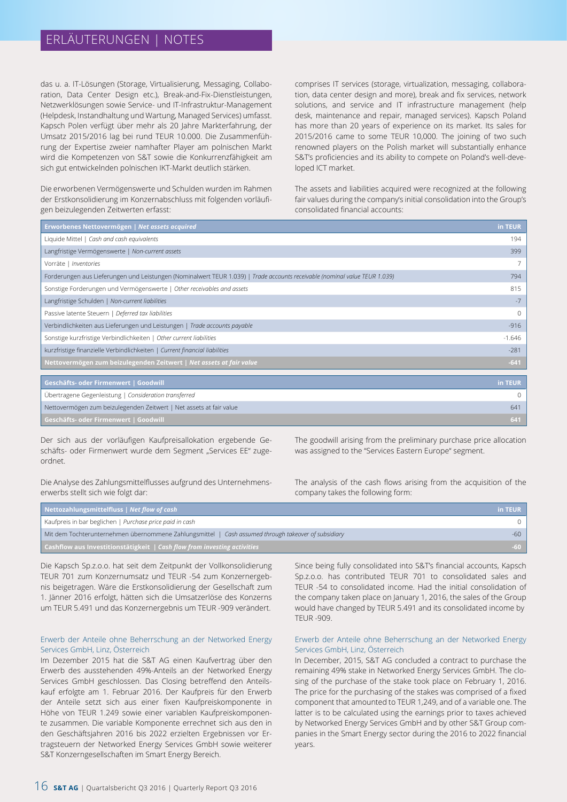# ERLÄUTERUNGEN | NOTES

das u. a. IT-Lösungen (Storage, Virtualisierung, Messaging, Collaboration, Data Center Design etc.), Break-and-Fix-Dienstleistungen, Netzwerklösungen sowie Service- und IT-Infrastruktur-Management (Helpdesk, Instandhaltung und Wartung, Managed Services) umfasst. Kapsch Polen verfügt über mehr als 20 Jahre Markterfahrung, der Umsatz 2015/2016 lag bei rund TEUR 10.000. Die Zusammenführung der Expertise zweier namhafter Player am polnischen Markt wird die Kompetenzen von S&T sowie die Konkurrenzfähigkeit am sich gut entwickelnden polnischen IKT-Markt deutlich stärken.

Die erworbenen Vermögenswerte und Schulden wurden im Rahmen der Erstkonsolidierung im Konzernabschluss mit folgenden vorläufigen beizulegenden Zeitwerten erfasst:

comprises IT services (storage, virtualization, messaging, collaboration, data center design and more), break and fix services, network solutions, and service and IT infrastructure management (help desk, maintenance and repair, managed services). Kapsch Poland has more than 20 years of experience on its market. Its sales for 2015/2016 came to some TEUR 10,000. The joining of two such renowned players on the Polish market will substantially enhance S&T's proficiencies and its ability to compete on Poland's well-developed ICT market.

The assets and liabilities acquired were recognized at the following fair values during the company's initial consolidation into the Group's consolidated financial accounts:

| Erworbenes Nettovermögen   Net assets acquired                                                                             | in TEUR  |
|----------------------------------------------------------------------------------------------------------------------------|----------|
| Liquide Mittel   Cash and cash equivalents                                                                                 | 194      |
| Langfristige Vermögenswerte   Non-current assets                                                                           | 399      |
| Vorräte   Inventories                                                                                                      |          |
| Forderungen aus Lieferungen und Leistungen (Nominalwert TEUR 1.039)   Trade accounts receivable (nominal value TEUR 1.039) | 794      |
| Sonstige Forderungen und Vermögenswerte   Other receivables and assets                                                     | 815      |
| Langfristige Schulden   Non-current liabilities                                                                            | $-7$     |
| Passive latente Steuern   Deferred tax liabilities                                                                         | $\Omega$ |
| Verbindlichkeiten aus Lieferungen und Leistungen   Trade accounts payable                                                  | $-916$   |
| Sonstige kurzfristige Verbindlichkeiten   Other current liabilities                                                        | $-1.646$ |
| kurzfristige finanzielle Verbindlichkeiten   Current financial liabilities                                                 | $-281$   |
| Nettovermögen zum beizulegenden Zeitwert   Net assets at fair value                                                        | $-641$   |
|                                                                                                                            |          |
| Geschäfts- oder Firmenwert   Goodwill                                                                                      | in TEUR  |
| Übertragene Gegenleistung   Consideration transferred                                                                      | $\Omega$ |

Nettovermögen zum beizulegenden Zeitwert | Net assets at fair value 641

Der sich aus der vorläufigen Kaufpreisallokation ergebende Geschäfts- oder Firmenwert wurde dem Segment "Services EE" zugeordnet.

Die Analyse des Zahlungsmittelflusses aufgrund des Unternehmenserwerbs stellt sich wie folgt dar:

The goodwill arising from the preliminary purchase price allocation was assigned to the "Services Eastern Europe" segment.

The analysis of the cash flows arising from the acquisition of the company takes the following form:

| Nettozahlungsmittelfluss   Net flow of cash                                                         | in TEUR |
|-----------------------------------------------------------------------------------------------------|---------|
| Kaufpreis in bar beglichen   Purchase price paid in cash                                            |         |
| Mit dem Tochterunternehmen übernommene Zahlungsmittel   Cash assumed through takeover of subsidiary | -60 -   |
| <b>Cashflow aus Investitionstätigkeit</b>   Cash flow from investing activities                     | -60 -   |

Die Kapsch Sp.z.o.o. hat seit dem Zeitpunkt der Vollkonsolidierung TEUR 701 zum Konzernumsatz und TEUR -54 zum Konzernergebnis beigetragen. Wäre die Erstkonsolidierung der Gesellschaft zum 1. Jänner 2016 erfolgt, hätten sich die Umsatzerlöse des Konzerns um TEUR 5.491 und das Konzernergebnis um TEUR -909 verändert.

#### Erwerb der Anteile ohne Beherrschung an der Networked Energy Services GmbH, Linz, Österreich

Im Dezember 2015 hat die S&T AG einen Kaufvertrag über den Erwerb des ausstehenden 49%-Anteils an der Networked Energy Services GmbH geschlossen. Das Closing betreffend den Anteilskauf erfolgte am 1. Februar 2016. Der Kaufpreis für den Erwerb der Anteile setzt sich aus einer fixen Kaufpreiskomponente in Höhe von TEUR 1.249 sowie einer variablen Kaufpreiskomponente zusammen. Die variable Komponente errechnet sich aus den in den Geschäftsjahren 2016 bis 2022 erzielten Ergebnissen vor Ertragsteuern der Networked Energy Services GmbH sowie weiterer S&T Konzerngesellschaften im Smart Energy Bereich.

Since being fully consolidated into S&T's financial accounts, Kapsch Sp.z.o.o. has contributed TEUR 701 to consolidated sales and TEUR -54 to consolidated income. Had the initial consolidation of the company taken place on January 1, 2016, the sales of the Group would have changed by TEUR 5.491 and its consolidated income by TEUR -909.

#### Erwerb der Anteile ohne Beherrschung an der Networked Energy Services GmbH, Linz, Österreich

In December, 2015, S&T AG concluded a contract to purchase the remaining 49% stake in Networked Energy Services GmbH. The closing of the purchase of the stake took place on February 1, 2016. The price for the purchasing of the stakes was comprised of a fixed component that amounted to TEUR 1,249, and of a variable one. The latter is to be calculated using the earnings prior to taxes achieved by Networked Energy Services GmbH and by other S&T Group companies in the Smart Energy sector during the 2016 to 2022 financial years.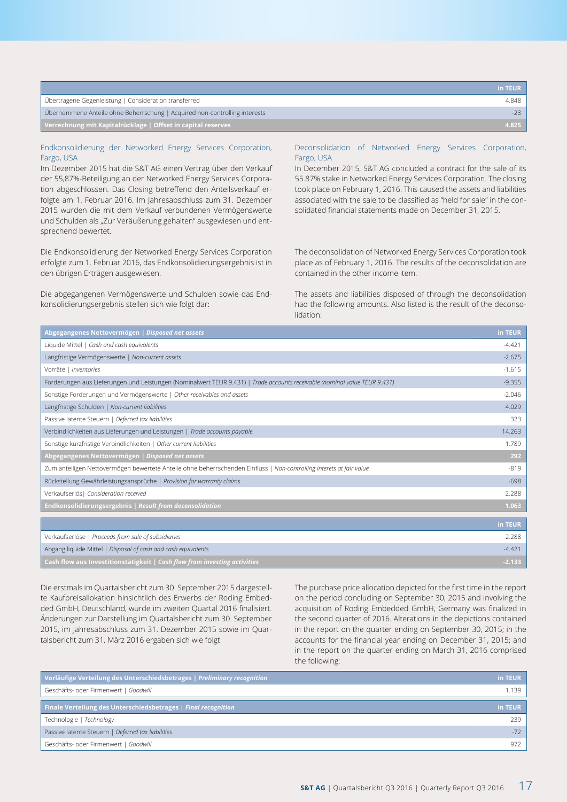|                                                                            | in TEUR |
|----------------------------------------------------------------------------|---------|
| Ubertragene Gegenleistung   Consideration transferred                      | 4.848   |
| Übernommene Anteile ohne Beherrschung   Acquired non-controlling interests |         |
| Verrechnung mit Kapitalrücklage   Offset in capital reserves               | 4.825   |

#### Endkonsolidierung der Networked Energy Services Corporation, Fargo, USA

Im Dezember 2015 hat die S&T AG einen Vertrag über den Verkauf der 55,87%-Beteiligung an der Networked Energy Services Corporation abgeschlossen. Das Closing betreffend den Anteilsverkauf erfolgte am 1. Februar 2016. Im Jahresabschluss zum 31. Dezember 2015 wurden die mit dem Verkauf verbundenen Vermögenswerte und Schulden als "Zur Veräußerung gehalten" ausgewiesen und entsprechend bewertet.

Die Endkonsolidierung der Networked Energy Services Corporation erfolgte zum 1. Februar 2016, das Endkonsolidierungsergebnis ist in den übrigen Erträgen ausgewiesen.

Die abgegangenen Vermögenswerte und Schulden sowie das Endkonsolidierungsergebnis stellen sich wie folgt dar:

#### Deconsolidation of Networked Energy Services Corporation, Fargo, USA

In December 2015, S&T AG concluded a contract for the sale of its 55.87% stake in Networked Energy Services Corporation. The closing took place on February 1, 2016. This caused the assets and liabilities associated with the sale to be classified as "held for sale" in the consolidated financial statements made on December 31, 2015.

The deconsolidation of Networked Energy Services Corporation took place as of February 1, 2016. The results of the deconsolidation are contained in the other income item.

The assets and liabilities disposed of through the deconsolidation had the following amounts. Also listed is the result of the deconsolidation:

| Abgegangenes Nettovermögen   Disposed net assets                                                                           | in TEUR  |
|----------------------------------------------------------------------------------------------------------------------------|----------|
| Liquide Mittel   Cash and cash equivalents                                                                                 | $-4.421$ |
| Langfristige Vermögenswerte   Non-current assets                                                                           | $-2.675$ |
| Vorräte   Inventories                                                                                                      | $-1.615$ |
| Forderungen aus Lieferungen und Leistungen (Nominalwert TEUR 9.431)   Trade accounts receivable (nominal value TEUR 9.431) | $-9.355$ |
| Sonstige Forderungen und Vermögenswerte   Other receivables and assets                                                     | $-2.046$ |
| Langfristige Schulden   Non-current liabilities                                                                            | 4.029    |
| Passive latente Steuern   Deferred tax liabilities                                                                         | 323      |
| Verbindlichkeiten aus Lieferungen und Leistungen   Trade accounts payable                                                  | 14.263   |
| Sonstige kurzfristige Verbindlichkeiten   Other current liabilities                                                        | 1.789    |
| Abgegangenes Nettovermögen   Disposed net assets                                                                           | 292      |
| Zum anteiligen Nettovermögen bewertete Anteile ohne beherrschenden Einfluss   Non-controlling interets at fair value       | $-819$   |
| Rückstellung Gewährleistungsansprüche   Provision for warranty claims                                                      | $-698$   |
| Verkaufserlös   Consideration received                                                                                     | 2.288    |
| <b>Endkonsolidierungsergebnis   Result from deconsolidation</b>                                                            | 1.063    |
|                                                                                                                            | in TEUR  |
|                                                                                                                            |          |
| Verkaufserlöse   Proceeds from sale of subsidiaries                                                                        | 2.288    |
| Abgang liquide Mittel   Disposal of cash and cash equivalents                                                              | $-4.421$ |
| Cash flow aus Investitionstätigkeit   Cash flow from investing activities                                                  | $-2.133$ |

Die erstmals im Quartalsbericht zum 30. September 2015 dargestellte Kaufpreisallokation hinsichtlich des Erwerbs der Roding Embedded GmbH, Deutschland, wurde im zweiten Quartal 2016 finalisiert. Änderungen zur Darstellung im Quartalsbericht zum 30. September 2015, im Jahresabschluss zum 31. Dezember 2015 sowie im Quartalsbericht zum 31. März 2016 ergaben sich wie folgt:

The purchase price allocation depicted for the first time in the report on the period concluding on September 30, 2015 and involving the acquisition of Roding Embedded GmbH, Germany was finalized in the second quarter of 2016. Alterations in the depictions contained in the report on the quarter ending on September 30, 2015; in the accounts for the financial year ending on December 31, 2015; and in the report on the quarter ending on March 31, 2016 comprised the following:

| Vorläufige Verteilung des Unterschiedsbetrages   Preliminary recognition | in TEUR |
|--------------------------------------------------------------------------|---------|
| Geschäfts- oder Firmenwert   Goodwill                                    | 1.139   |
| Finale Verteilung des Unterschiedsbetrages   Final recognition           | in TEUR |
| Technologie   Technology                                                 | 239     |
| Passive latente Steuern   Deferred tax liabilities                       | $-72$   |
| Geschäfts- oder Firmenwert   Goodwill                                    | 972     |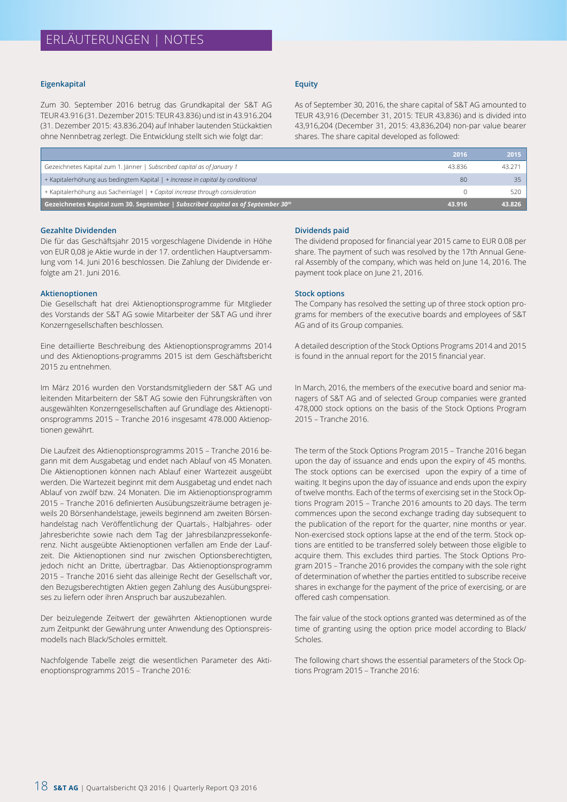#### **Eigenkapital**

Zum 30. September 2016 betrug das Grundkapital der S&T AG TEUR 43.916 (31. Dezember 2015: TEUR 43.836) und ist in 43.916.204 (31. Dezember 2015: 43.836.204) auf Inhaber lautenden Stückaktien ohne Nennbetrag zerlegt. Die Entwicklung stellt sich wie folgt dar:

#### **Equity**

As of September 30, 2016, the share capital of S&T AG amounted to TEUR 43,916 (December 31, 2015: TEUR 43,836) and is divided into 43,916,204 (December 31, 2015: 43,836,204) non-par value bearer shares. The share capital developed as followed:

|                                                                                  | 2016   | 2015   |
|----------------------------------------------------------------------------------|--------|--------|
| Gezeichnetes Kapital zum 1. Jänner   Subscribed capital as of January 1          | 43.836 | 43.271 |
| + Kapitalerhöhung aus bedingtem Kapital   + Increase in capital by conditional   | 80     | 35     |
| + Kapitalerhöhung aus Sacheinlagel   + Capital increase through consideration    |        | 520    |
| Gezeichnetes Kapital zum 30. September   Subscribed capital as of September 30th | 43.916 | 43.826 |

#### **Gezahlte Dividenden**

Die für das Geschäftsjahr 2015 vorgeschlagene Dividende in Höhe von EUR 0,08 je Aktie wurde in der 17. ordentlichen Hauptversammlung vom 14. Juni 2016 beschlossen. Die Zahlung der Dividende erfolgte am 21. Juni 2016.

#### **Aktienoptionen**

Die Gesellschaft hat drei Aktienoptionsprogramme für Mitglieder des Vorstands der S&T AG sowie Mitarbeiter der S&T AG und ihrer Konzerngesellschaften beschlossen.

Eine detaillierte Beschreibung des Aktienoptionsprogramms 2014 und des Aktienoptions-programms 2015 ist dem Geschäftsbericht 2015 zu entnehmen.

Im März 2016 wurden den Vorstandsmitgliedern der S&T AG und leitenden Mitarbeitern der S&T AG sowie den Führungskräften von ausgewählten Konzerngesellschaften auf Grundlage des Aktienoptionsprogramms 2015 – Tranche 2016 insgesamt 478.000 Aktienoptionen gewährt.

Die Laufzeit des Aktienoptionsprogramms 2015 – Tranche 2016 begann mit dem Ausgabetag und endet nach Ablauf von 45 Monaten. Die Aktienoptionen können nach Ablauf einer Wartezeit ausgeübt werden. Die Wartezeit beginnt mit dem Ausgabetag und endet nach Ablauf von zwölf bzw. 24 Monaten. Die im Aktienoptionsprogramm 2015 – Tranche 2016 definierten Ausübungszeiträume betragen jeweils 20 Börsenhandelstage, jeweils beginnend am zweiten Börsenhandelstag nach Veröffentlichung der Quartals-, Halbjahres- oder Jahresberichte sowie nach dem Tag der Jahresbilanzpressekonferenz. Nicht ausgeübte Aktienoptionen verfallen am Ende der Laufzeit. Die Aktienoptionen sind nur zwischen Optionsberechtigten, jedoch nicht an Dritte, übertragbar. Das Aktienoptionsprogramm 2015 – Tranche 2016 sieht das alleinige Recht der Gesellschaft vor, den Bezugsberechtigten Aktien gegen Zahlung des Ausübungspreises zu liefern oder ihren Anspruch bar auszubezahlen.

Der beizulegende Zeitwert der gewährten Aktienoptionen wurde zum Zeitpunkt der Gewährung unter Anwendung des Optionspreismodells nach Black/Scholes ermittelt.

Nachfolgende Tabelle zeigt die wesentlichen Parameter des Aktienoptionsprogramms 2015 – Tranche 2016:

#### **Dividends paid**

The dividend proposed for financial year 2015 came to EUR 0.08 per share. The payment of such was resolved by the 17th Annual General Assembly of the company, which was held on June 14, 2016. The payment took place on June 21, 2016.

#### **Stock options**

The Company has resolved the setting up of three stock option programs for members of the executive boards and employees of S&T AG and of its Group companies.

A detailed description of the Stock Options Programs 2014 and 2015 is found in the annual report for the 2015 financial year.

In March, 2016, the members of the executive board and senior managers of S&T AG and of selected Group companies were granted 478,000 stock options on the basis of the Stock Options Program 2015 – Tranche 2016.

The term of the Stock Options Program 2015 – Tranche 2016 began upon the day of issuance and ends upon the expiry of 45 months. The stock options can be exercised upon the expiry of a time of waiting. It begins upon the day of issuance and ends upon the expiry of twelve months. Each of the terms of exercising set in the Stock Options Program 2015 – Tranche 2016 amounts to 20 days. The term commences upon the second exchange trading day subsequent to the publication of the report for the quarter, nine months or year. Non-exercised stock options lapse at the end of the term. Stock options are entitled to be transferred solely between those eligible to acquire them. This excludes third parties. The Stock Options Program 2015 – Tranche 2016 provides the company with the sole right of determination of whether the parties entitled to subscribe receive shares in exchange for the payment of the price of exercising, or are offered cash compensation.

The fair value of the stock options granted was determined as of the time of granting using the option price model according to Black/ Scholes.

The following chart shows the essential parameters of the Stock Options Program 2015 – Tranche 2016: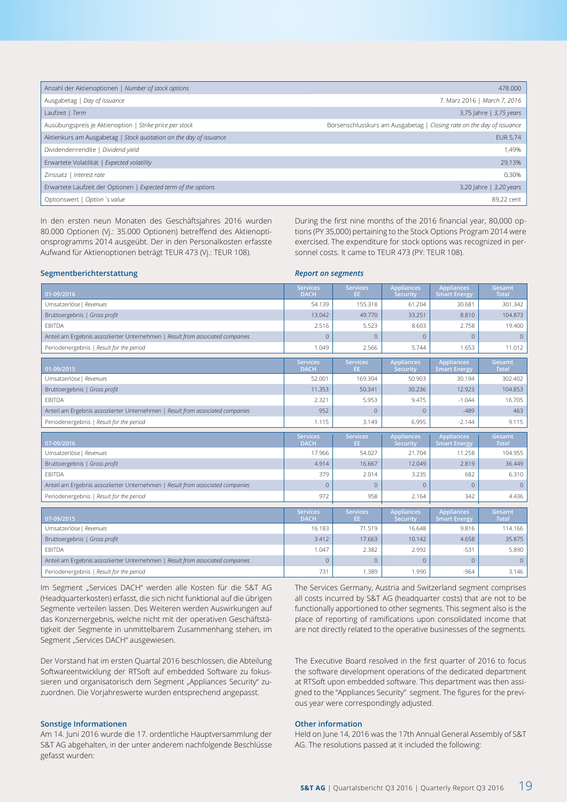| 478.000                                                               |
|-----------------------------------------------------------------------|
| 7. März 2016   March 7, 2016                                          |
| 3,75 Jahre   3,75 years                                               |
| Börsenschlusskurs am Ausgabetag   Closing rate on the day of issuance |
| <b>EUR 5,74</b>                                                       |
| 1,49%                                                                 |
| 29,13%                                                                |
| 0,30%                                                                 |
| 3,20 Jahre   3,20 years                                               |
| 89,22 cent                                                            |
|                                                                       |

In den ersten neun Monaten des Geschäftsjahres 2016 wurden 80.000 Optionen (Vj.: 35.000 Optionen) betreffend des Aktienoptionsprogramms 2014 ausgeübt. Der in den Personalkosten erfasste Aufwand für Aktienoptionen beträgt TEUR 473 (Vj.: TEUR 108).

During the first nine months of the 2016 financial year, 80,000 options (PY 35,000) pertaining to the Stock Options Program 2014 were exercised. The expenditure for stock options was recognized in personnel costs. It came to TEUR 473 (PY: TEUR 108).

| Segmentberichterstattung                                                       | <b>Report on segments</b>      |                        |                                      |                                          |                        |
|--------------------------------------------------------------------------------|--------------------------------|------------------------|--------------------------------------|------------------------------------------|------------------------|
| 01-09/2016                                                                     | <b>Services</b><br><b>DACH</b> | <b>Services</b><br>EE. | <b>Appliances</b><br>Security        | <b>Appliances</b><br><b>Smart Energy</b> | Gesamt<br><b>Total</b> |
| Umsatzerlöse   Revenues                                                        | 54.139                         | 155.318                | 61.204                               | 30.681                                   | 301.342                |
| Bruttoergebnis   Gross profit                                                  | 13.042                         | 49.770                 | 33.251                               | 8.810                                    | 104.873                |
| EBITDA                                                                         | 2.516                          | 5.523                  | 8.603                                | 2.758                                    | 19.400                 |
| Anteil am Ergebnis assoziierter Unternehmen   Result from associated companies | $\mathbf{0}$                   | $\mathbf{0}$           | $\mathbf{0}$                         | $\overline{0}$                           | $\overline{0}$         |
| Periodenergebnis   Result for the period                                       | 1.049                          | 2.566                  | 5.744                                | 1.653                                    | 11.012                 |
| 01-09/2015                                                                     | <b>Services</b><br><b>DACH</b> | <b>Services</b><br>EE. | <b>Appliances</b><br><b>Security</b> | <b>Appliances</b><br><b>Smart Energy</b> | Gesamt<br><b>Total</b> |
| Umsatzerlöse   Revenues                                                        | 52.001                         | 169.304                | 50.903                               | 30.194                                   | 302.402                |
| Bruttoergebnis   Gross profit                                                  | 11.353                         | 50.341                 | 30.236                               | 12.923                                   | 104.853                |
| <b>EBITDA</b>                                                                  | 2.321                          | 5.953                  | 9.475                                | $-1.044$                                 | 16.705                 |
| Anteil am Ergebnis assoziierter Unternehmen   Result from associated companies | 952                            | $\Omega$               | $\mathbf{0}$                         | $-489$                                   | 463                    |
| Periodenergebnis   Result for the period                                       | 1.115                          | 3.149                  | 6.995                                | $-2.144$                                 | 9.115                  |
| 07-09/2016                                                                     | <b>Services</b><br><b>DACH</b> | <b>Services</b><br>EE. | Appliances<br><b>Security</b>        | <b>Appliances</b><br><b>Smart Energy</b> | Gesamt<br><b>Total</b> |
| Umsatzerlöse   Revenues                                                        | 17.966                         | 54.027                 | 21.704                               | 11.258                                   | 104.955                |
| Bruttoergebnis   Gross profit                                                  | 4.914                          | 16.667                 | 12.049                               | 2.819                                    | 36.449                 |
| EBITDA                                                                         | 379                            | 2.014                  | 3.235                                | 682                                      | 6.310                  |
| Anteil am Ergebnis assoziierter Unternehmen   Result from associated companies | $\mathbf{0}$                   | $\Omega$               | $\mathbf{0}$                         | $\overline{0}$                           | $\mathbf{0}$           |
| Periodenergebnis   Result for the period                                       | 972                            | 958                    | 2.164                                | 342                                      | 4.436                  |
| 07-09/2015                                                                     | <b>Services</b><br><b>DACH</b> | <b>Services</b><br>EE. | <b>Appliances</b><br>Security        | <b>Appliances</b><br><b>Smart Energy</b> | Gesamt<br><b>Total</b> |
| Umsatzerlöse   Revenues                                                        | 16.183                         | 71.519                 | 16.648                               | 9.816                                    | 114.166                |
| Bruttoergebnis   Gross profit                                                  | 3.412                          | 17.663                 | 10.142                               | 4.658                                    | 35.875                 |
| <b>EBITDA</b>                                                                  | 1.047                          | 2.382                  | 2.992                                | $-531$                                   | 5.890                  |
| Anteil am Ergebnis assoziierter Unternehmen   Result from associated companies | $\overline{0}$                 | $\Omega$               | $\mathbf{0}$                         | $\overline{0}$                           | $\overline{0}$         |
| Periodenergebnis   Result for the period                                       | 731                            | 1.389                  | 1.990                                | $-964$                                   | 3.146                  |

Im Segment "Services DACH" werden alle Kosten für die S&T AG (Headquarterkosten) erfasst, die sich nicht funktional auf die übrigen Segmente verteilen lassen. Des Weiteren werden Auswirkungen auf das Konzernergebnis, welche nicht mit der operativen Geschäftstätigkeit der Segmente in unmittelbarem Zusammenhang stehen, im Segment "Services DACH" ausgewiesen.

Der Vorstand hat im ersten Quartal 2016 beschlossen, die Abteilung Softwareentwicklung der RTSoft auf embedded Software zu fokussieren und organisatorisch dem Segment "Appliances Security" zuzuordnen. Die Vorjahreswerte wurden entsprechend angepasst.

#### **Sonstige Informationen**

Am 14. Juni 2016 wurde die 17. ordentliche Hauptversammlung der S&T AG abgehalten, in der unter anderem nachfolgende Beschlüsse gefasst wurden:

The Services Germany, Austria and Switzerland segment comprises all costs incurred by S&T AG (headquarter costs) that are not to be functionally apportioned to other segments. This segment also is the place of reporting of ramifications upon consolidated income that are not directly related to the operative businesses of the segments.

The Executive Board resolved in the first quarter of 2016 to focus the software development operations of the dedicated department at RTSoft upon embedded software. This department was then assigned to the "Appliances Security" segment. The figures for the previous year were correspondingly adjusted.

#### **Other information**

Held on June 14, 2016 was the 17th Annual General Assembly of S&T AG. The resolutions passed at it included the following:

#### **Segmentberichterstattung**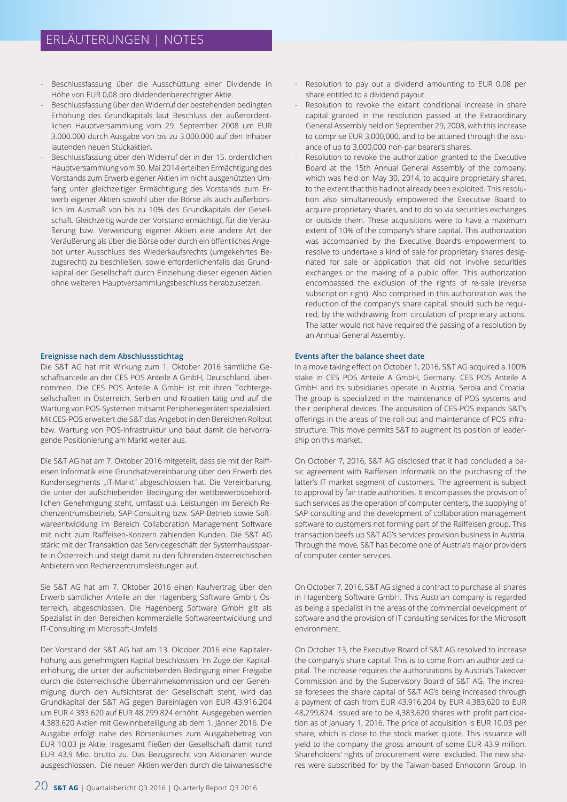- Beschlussfassung über die Ausschüttung einer Dividende in Höhe von EUR 0,08 pro dividendenberechtigter Aktie.
- Beschlussfassung über den Widerruf der bestehenden bedingten Erhöhung des Grundkapitals laut Beschluss der außerordentlichen Hauptversammlung vom 29. September 2008 um EUR 3.000.000 durch Ausgabe von bis zu 3.000.000 auf den Inhaber lautenden neuen Stückaktien.
- Beschlussfassung über den Widerruf der in der 15. ordentlichen Hauptversammlung vom 30. Mai 2014 erteilten Ermächtigung des Vorstands zum Erwerb eigener Aktien im nicht ausgenützten Umfang unter gleichzeitiger Ermächtigung des Vorstands zum Erwerb eigener Aktien sowohl über die Börse als auch außerbörslich im Ausmaß von bis zu 10% des Grundkapitals der Gesellschaft. Gleichzeitig wurde der Vorstand ermächtigt, für die Veräußerung bzw. Verwendung eigener Aktien eine andere Art der Veräußerung als über die Börse oder durch ein öffentliches Angebot unter Ausschluss des Wiederkaufsrechts (umgekehrtes Bezugsrecht) zu beschließen, sowie erforderlichenfalls das Grundkapital der Gesellschaft durch Einziehung dieser eigenen Aktien ohne weiteren Hauptversammlungsbeschluss herabzusetzen.

#### **Ereignisse nach dem Abschlussstichtag**

Die S&T AG hat mit Wirkung zum 1. Oktober 2016 sämtliche Geschäftsanteile an der CES POS Anteile A GmbH, Deutschland, übernommen. Die CES POS Anteile A GmbH ist mit ihren Tochtergesellschaften in Österreich, Serbien und Kroatien tätig und auf die Wartung von POS-Systemen mitsamt Peripheriegeräten spezialisiert. Mit CES-POS erweitert die S&T das Angebot in den Bereichen Rollout bzw. Wartung von POS-Infrastruktur und baut damit die hervorragende Positionierung am Markt weiter aus.

Die S&T AG hat am 7. Oktober 2016 mitgeteilt, dass sie mit der Raiffeisen Informatik eine Grundsatzvereinbarung über den Erwerb des Kundensegments "IT-Markt" abgeschlossen hat. Die Vereinbarung, die unter der aufschiebenden Bedingung der wettbewerbsbehördlichen Genehmigung steht, umfasst u.a. Leistungen im Bereich Rechenzentrumsbetrieb, SAP-Consulting bzw. SAP-Betrieb sowie Softwareentwicklung im Bereich Collaboration Management Software mit nicht zum Raiffeisen-Konzern zählenden Kunden. Die S&T AG stärkt mit der Transaktion das Servicegeschäft der Systemhaussparte in Österreich und steigt damit zu den führenden österreichischen Anbietern von Rechenzentrumsleistungen auf.

Sie S&T AG hat am 7. Oktober 2016 einen Kaufvertrag über den Erwerb sämtlicher Anteile an der Hagenberg Software GmbH, Österreich, abgeschlossen. Die Hagenberg Software GmbH gilt als Spezialist in den Bereichen kommerzielle Softwareentwicklung und IT-Consulting im Microsoft-Umfeld.

Der Vorstand der S&T AG hat am 13. Oktober 2016 eine Kapitalerhöhung aus genehmigten Kapital beschlossen. Im Zuge der Kapitalerhöhung, die unter der aufschiebenden Bedingung einer Freigabe durch die österreichische Übernahmekommission und der Genehmigung durch den Aufsichtsrat der Gesellschaft steht, wird das Grundkapital der S&T AG gegen Bareinlagen von EUR 43.916.204 um EUR 4.383.620 auf EUR 48.299.824 erhöht. Ausgegeben werden 4.383.620 Aktien mit Gewinnbeteiligung ab dem 1. Jänner 2016. Die Ausgabe erfolgt nahe des Börsenkurses zum Ausgabebetrag von EUR 10,03 je Aktie. Insgesamt fließen der Gesellschaft damit rund EUR 43,9 Mio. brutto zu. Das Bezugsrecht von Aktionären wurde ausgeschlossen. Die neuen Aktien werden durch die taiwanesische

- Resolution to revoke the extant conditional increase in share capital granted in the resolution passed at the Extraordinary General Assembly held on September 29, 2008, with this increase to comprise EUR 3,000,000, and to be attained through the issuance of up to 3,000,000 non-par bearer's shares.
- Resolution to revoke the authorization granted to the Executive Board at the 15th Annual General Assembly of the company, which was held on May 30, 2014, to acquire proprietary shares, to the extent that this had not already been exploited. This resolution also simultaneously empowered the Executive Board to acquire proprietary shares, and to do so via securities exchanges or outside them. These acquisitions were to have a maximum extent of 10% of the company's share capital. This authorization was accompanied by the Executive Board's empowerment to resolve to undertake a kind of sale for proprietary shares designated for sale or application that did not involve securities exchanges or the making of a public offer. This authorization encompassed the exclusion of the rights of re-sale (reverse subscription right). Also comprised in this authorization was the reduction of the company's share capital, should such be required, by the withdrawing from circulation of proprietary actions. The latter would not have required the passing of a resolution by an Annual General Assembly.

#### **Events after the balance sheet date**

In a move taking effect on October 1, 2016, S&T AG acquired a 100% stake in CES POS Anteile A GmbH, Germany. CES POS Anteile A GmbH and its subsidiaries operate in Austria, Serbia and Croatia. The group is specialized in the maintenance of POS systems and their peripheral devices. The acquisition of CES-POS expands S&T's offerings in the areas of the roll-out and maintenance of POS infrastructure. This move permits S&T to augment its position of leadership on this market.

On October 7, 2016, S&T AG disclosed that it had concluded a basic agreement with Raiffeisen Informatik on the purchasing of the latter's IT market segment of customers. The agreement is subject to approval by fair trade authorities. It encompasses the provision of such services as the operation of computer centers, the supplying of SAP consulting and the development of collaboration management software to customers not forming part of the Raiffeisen group. This transaction beefs up S&T AG's services provision business in Austria. Through the move, S&T has become one of Austria's major providers of computer center services.

On October 7, 2016, S&T AG signed a contract to purchase all shares in Hagenberg Software GmbH. This Austrian company is regarded as being a specialist in the areas of the commercial development of software and the provision of IT consulting services for the Microsoft environment.

On October 13, the Executive Board of S&T AG resolved to increase the company's share capital. This is to come from an authorized capital. The increase requires the authorizations by Austria's Takeover Commission and by the Supervisory Board of S&T AG. The increase foresees the share capital of S&T AG's being increased through a payment of cash from EUR 43,916,204 by EUR 4,383,620 to EUR 48,299,824. Issued are to be 4,383,620 shares with profit participation as of January 1, 2016. The price of acquisition is EUR 10.03 per share, which is close to the stock market quote. This issuance will yield to the company the gross amount of some EUR 43.9 million. Shareholders' rights of procurement were excluded. The new shares were subscribed for by the Taiwan-based Ennoconn Group. In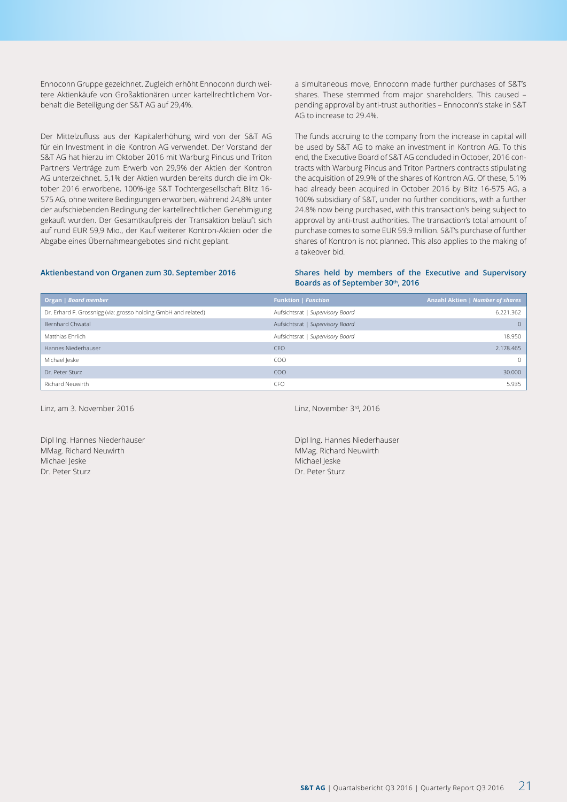Ennoconn Gruppe gezeichnet. Zugleich erhöht Ennoconn durch weitere Aktienkäufe von Großaktionären unter kartellrechtlichem Vorbehalt die Beteiligung der S&T AG auf 29,4%.

Der Mittelzufluss aus der Kapitalerhöhung wird von der S&T AG für ein Investment in die Kontron AG verwendet. Der Vorstand der S&T AG hat hierzu im Oktober 2016 mit Warburg Pincus und Triton Partners Verträge zum Erwerb von 29,9% der Aktien der Kontron AG unterzeichnet. 5,1% der Aktien wurden bereits durch die im Oktober 2016 erworbene, 100%-ige S&T Tochtergesellschaft Blitz 16- 575 AG, ohne weitere Bedingungen erworben, während 24,8% unter der aufschiebenden Bedingung der kartellrechtlichen Genehmigung gekauft wurden. Der Gesamtkaufpreis der Transaktion beläuft sich auf rund EUR 59,9 Mio., der Kauf weiterer Kontron-Aktien oder die Abgabe eines Übernahmeangebotes sind nicht geplant.

a simultaneous move, Ennoconn made further purchases of S&T's shares. These stemmed from major shareholders. This caused – pending approval by anti-trust authorities – Ennoconn's stake in S&T AG to increase to 29.4%.

The funds accruing to the company from the increase in capital will be used by S&T AG to make an investment in Kontron AG. To this end, the Executive Board of S&T AG concluded in October, 2016 contracts with Warburg Pincus and Triton Partners contracts stipulating the acquisition of 29.9% of the shares of Kontron AG. Of these, 5.1% had already been acquired in October 2016 by Blitz 16-575 AG, a 100% subsidiary of S&T, under no further conditions, with a further 24.8% now being purchased, with this transaction's being subject to approval by anti-trust authorities. The transaction's total amount of purchase comes to some EUR 59.9 million. S&T's purchase of further shares of Kontron is not planned. This also applies to the making of a takeover bid.

#### **Aktienbestand von Organen zum 30. September 2016**

#### **Shares held by members of the Executive and Supervisory Boards as of September 30th, 2016**

| Organ   Board member                                           | <b>Funktion   Function</b>       | Anzahl Aktien   Number of shares |
|----------------------------------------------------------------|----------------------------------|----------------------------------|
| Dr. Erhard F. Grossnigg (via: grosso holding GmbH and related) | Aufsichtsrat   Supervisory Board | 6.221.362                        |
| Bernhard Chwatal                                               | Aufsichtsrat   Supervisory Board | $\Omega$                         |
| Matthias Ehrlich                                               | Aufsichtsrat   Supervisory Board | 18.950                           |
| Hannes Niederhauser                                            | CEO                              | 2.178.465                        |
| Michael Jeske                                                  | CO <sub>O</sub>                  | $\Omega$                         |
| Dr. Peter Sturz                                                | CO <sub>O</sub>                  | 30,000                           |
| Richard Neuwirth                                               | <b>CFO</b>                       | 5.935                            |

Linz, am 3. November 2016

Dipl Ing. Hannes Niederhauser MMag. Richard Neuwirth Michael Jeske Dr. Peter Sturz

Linz, November 3rd, 2016

Dipl Ing. Hannes Niederhauser MMag. Richard Neuwirth Michael Jeske Dr. Peter Sturz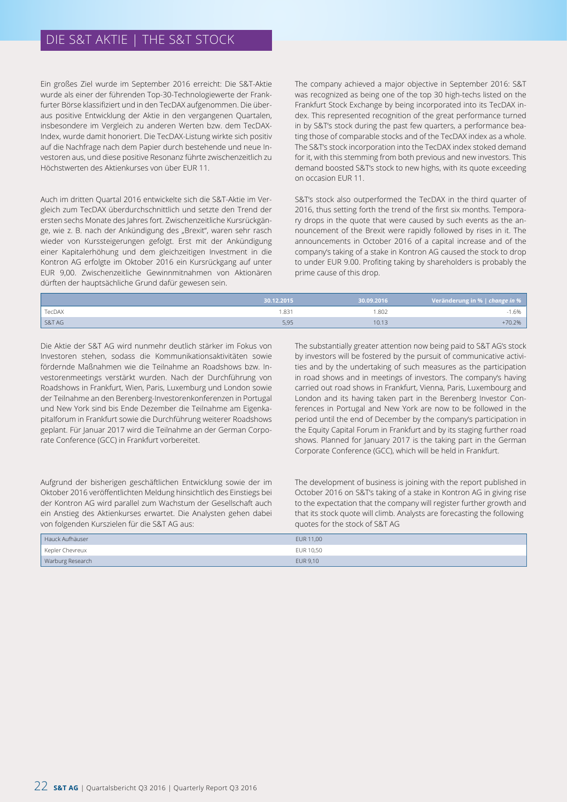Ein großes Ziel wurde im September 2016 erreicht: Die S&T-Aktie wurde als einer der führenden Top-30-Technologiewerte der Frankfurter Börse klassifiziert und in den TecDAX aufgenommen. Die überaus positive Entwicklung der Aktie in den vergangenen Quartalen, insbesondere im Vergleich zu anderen Werten bzw. dem TecDAX-Index, wurde damit honoriert. Die TecDAX-Listung wirkte sich positiv auf die Nachfrage nach dem Papier durch bestehende und neue Investoren aus, und diese positive Resonanz führte zwischenzeitlich zu Höchstwerten des Aktienkurses von über EUR 11.

Auch im dritten Quartal 2016 entwickelte sich die S&T-Aktie im Vergleich zum TecDAX überdurchschnittlich und setzte den Trend der ersten sechs Monate des Jahres fort. Zwischenzeitliche Kursrückgänge, wie z. B. nach der Ankündigung des "Brexit", waren sehr rasch wieder von Kurssteigerungen gefolgt. Erst mit der Ankündigung einer Kapitalerhöhung und dem gleichzeitigen Investment in die Kontron AG erfolgte im Oktober 2016 ein Kursrückgang auf unter EUR 9,00. Zwischenzeitliche Gewinnmitnahmen von Aktionären dürften der hauptsächliche Grund dafür gewesen sein.

The company achieved a major objective in September 2016: S&T was recognized as being one of the top 30 high-techs listed on the Frankfurt Stock Exchange by being incorporated into its TecDAX index. This represented recognition of the great performance turned in by S&T's stock during the past few quarters, a performance beating those of comparable stocks and of the TecDAX index as a whole. The S&T's stock incorporation into the TecDAX index stoked demand for it, with this stemming from both previous and new investors. This demand boosted S&T's stock to new highs, with its quote exceeding on occasion EUR 11.

S&T's stock also outperformed the TecDAX in the third quarter of 2016, thus setting forth the trend of the first six months. Temporary drops in the quote that were caused by such events as the announcement of the Brexit were rapidly followed by rises in it. The announcements in October 2016 of a capital increase and of the company's taking of a stake in Kontron AG caused the stock to drop to under EUR 9.00. Profiting taking by shareholders is probably the prime cause of this drop.

|        | 30.12.2015   | 30.09.2016                   | Veränderung in %   change in % |
|--------|--------------|------------------------------|--------------------------------|
| TecDAX | .831<br>$ -$ | .802<br>$\sim$ $\sim$ $\sim$ | . 6%                           |
| S&T AG | 5,95         | $10.1 -$                     | 70.2%                          |

Die Aktie der S&T AG wird nunmehr deutlich stärker im Fokus von Investoren stehen, sodass die Kommunikationsaktivitäten sowie fördernde Maßnahmen wie die Teilnahme an Roadshows bzw. Investorenmeetings verstärkt wurden. Nach der Durchführung von Roadshows in Frankfurt, Wien, Paris, Luxemburg und London sowie der Teilnahme an den Berenberg-Investorenkonferenzen in Portugal und New York sind bis Ende Dezember die Teilnahme am Eigenkapitalforum in Frankfurt sowie die Durchführung weiterer Roadshows geplant. Für Januar 2017 wird die Teilnahme an der German Corporate Conference (GCC) in Frankfurt vorbereitet.

Aufgrund der bisherigen geschäftlichen Entwicklung sowie der im Oktober 2016 veröffentlichten Meldung hinsichtlich des Einstiegs bei der Kontron AG wird parallel zum Wachstum der Gesellschaft auch ein Anstieg des Aktienkurses erwartet. Die Analysten gehen dabei von folgenden Kurszielen für die S&T AG aus:

The substantially greater attention now being paid to S&T AG's stock by investors will be fostered by the pursuit of communicative activities and by the undertaking of such measures as the participation in road shows and in meetings of investors. The company's having carried out road shows in Frankfurt, Vienna, Paris, Luxembourg and London and its having taken part in the Berenberg Investor Conferences in Portugal and New York are now to be followed in the period until the end of December by the company's participation in the Equity Capital Forum in Frankfurt and by its staging further road shows. Planned for January 2017 is the taking part in the German Corporate Conference (GCC), which will be held in Frankfurt.

The development of business is joining with the report published in October 2016 on S&T's taking of a stake in Kontron AG in giving rise to the expectation that the company will register further growth and that its stock quote will climb. Analysts are forecasting the following quotes for the stock of S&T AG

| Hauck Aufhäuser  | EUR 11.00 |
|------------------|-----------|
| Kepler Chevreux  | EUR 10,50 |
| Warburg Research | EUR 9,10  |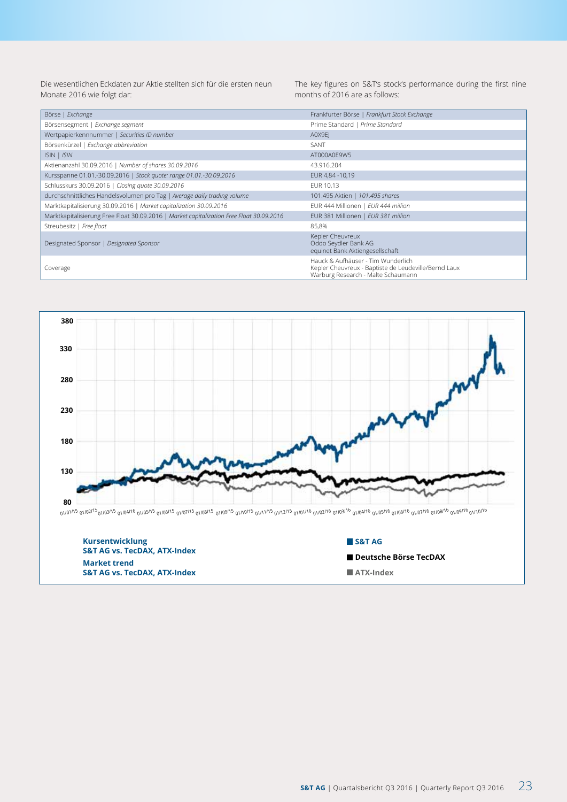Die wesentlichen Eckdaten zur Aktie stellten sich für die ersten neun Monate 2016 wie folgt dar:

The key figures on S&T's stock's performance during the first nine months of 2016 are as follows:

| Börse   Exchange                                                                         | Frankfurter Börse   Frankfurt Stock Exchange                                                                                     |
|------------------------------------------------------------------------------------------|----------------------------------------------------------------------------------------------------------------------------------|
| Börsensegment   Exchange segment                                                         | Prime Standard   Prime Standard                                                                                                  |
| Wertpapierkennnummer   Securities ID number                                              | A0X9EI                                                                                                                           |
| Börsenkürzel   Exchange abbreviation                                                     | SANT                                                                                                                             |
| ISIN   ISIN                                                                              | AT000A0E9W5                                                                                                                      |
| Aktienanzahl 30.09.2016   Number of shares 30.09.2016                                    | 43.916.204                                                                                                                       |
| Kursspanne 01.01.-30.09.2016   Stock quote: range 01.01.-30.09.2016                      | EUR 4,84 -10,19                                                                                                                  |
| Schlusskurs 30.09.2016   Closing quote 30.09.2016                                        | EUR 10.13                                                                                                                        |
| durchschnittliches Handelsvolumen pro Tag   Average daily trading volume                 | 101.495 Aktien   101.495 shares                                                                                                  |
| Marktkapitalisierung 30.09.2016   Market capitalization 30.09.2016                       | EUR 444 Millionen   EUR 444 million                                                                                              |
| Marktkapitalisierung Free Float 30.09.2016   Market capitalization Free Float 30.09.2016 | EUR 381 Millionen   EUR 381 million                                                                                              |
| Streubesitz   Free float                                                                 | 85,8%                                                                                                                            |
| Designated Sponsor   Designated Sponsor                                                  | Kepler Cheuvreux<br>Oddo Seydler Bank AG<br>equinet Bank Aktiengesellschaft                                                      |
| Coverage                                                                                 | Hauck & Aufhäuser - Tim Wunderlich<br>Kepler Cheuvreux - Baptiste de Leudeville/Bernd Laux<br>Warburg Research - Malte Schaumann |